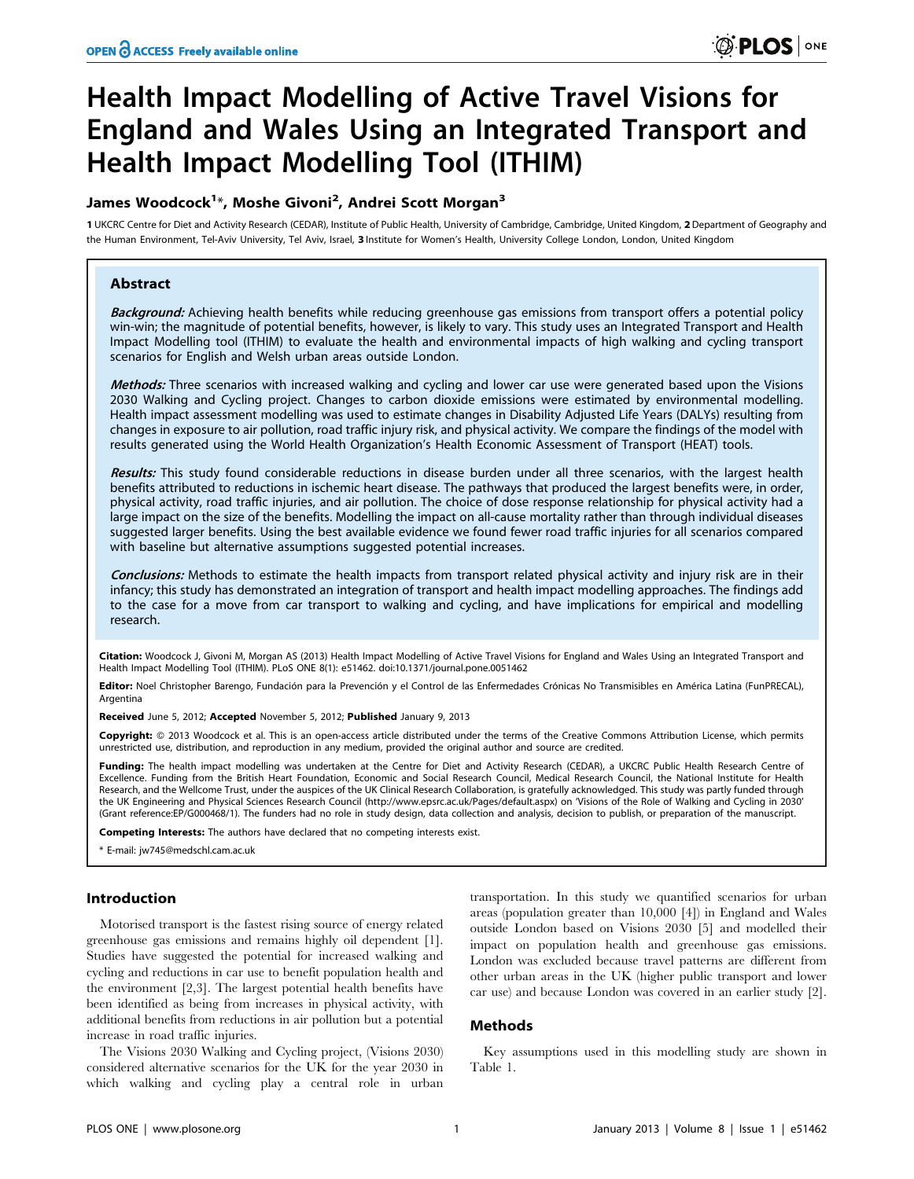# Health Impact Modelling of Active Travel Visions for England and Wales Using an Integrated Transport and Health Impact Modelling Tool (ITHIM)

# James Woodcock<sup>1</sup>\*, Moshe Givoni<sup>2</sup>, Andrei Scott Morgan<sup>3</sup>

1 UKCRC Centre for Diet and Activity Research (CEDAR), Institute of Public Health, University of Cambridge, Cambridge, United Kingdom, 2 Department of Geography and the Human Environment, Tel-Aviv University, Tel Aviv, Israel, 3 Institute for Women's Health, University College London, London, United Kingdom

# Abstract

Background: Achieving health benefits while reducing greenhouse gas emissions from transport offers a potential policy win-win; the magnitude of potential benefits, however, is likely to vary. This study uses an Integrated Transport and Health Impact Modelling tool (ITHIM) to evaluate the health and environmental impacts of high walking and cycling transport scenarios for English and Welsh urban areas outside London.

Methods: Three scenarios with increased walking and cycling and lower car use were generated based upon the Visions 2030 Walking and Cycling project. Changes to carbon dioxide emissions were estimated by environmental modelling. Health impact assessment modelling was used to estimate changes in Disability Adjusted Life Years (DALYs) resulting from changes in exposure to air pollution, road traffic injury risk, and physical activity. We compare the findings of the model with results generated using the World Health Organization's Health Economic Assessment of Transport (HEAT) tools.

Results: This study found considerable reductions in disease burden under all three scenarios, with the largest health benefits attributed to reductions in ischemic heart disease. The pathways that produced the largest benefits were, in order, physical activity, road traffic injuries, and air pollution. The choice of dose response relationship for physical activity had a large impact on the size of the benefits. Modelling the impact on all-cause mortality rather than through individual diseases suggested larger benefits. Using the best available evidence we found fewer road traffic injuries for all scenarios compared with baseline but alternative assumptions suggested potential increases.

Conclusions: Methods to estimate the health impacts from transport related physical activity and injury risk are in their infancy; this study has demonstrated an integration of transport and health impact modelling approaches. The findings add to the case for a move from car transport to walking and cycling, and have implications for empirical and modelling research.

Citation: Woodcock J, Givoni M, Morgan AS (2013) Health Impact Modelling of Active Travel Visions for England and Wales Using an Integrated Transport and Health Impact Modelling Tool (ITHIM). PLoS ONE 8(1): e51462. doi:10.1371/journal.pone.0051462

Editor: Noel Christopher Barengo, Fundación para la Prevención y el Control de las Enfermedades Crónicas No Transmisibles en América Latina (FunPRECAL), Argentina

Received June 5, 2012; Accepted November 5, 2012; Published January 9, 2013

Copyright: © 2013 Woodcock et al. This is an open-access article distributed under the terms of the Creative Commons Attribution License, which permits unrestricted use, distribution, and reproduction in any medium, provided the original author and source are credited.

Funding: The health impact modelling was undertaken at the Centre for Diet and Activity Research (CEDAR), a UKCRC Public Health Research Centre of Excellence. Funding from the British Heart Foundation, Economic and Social Research Council, Medical Research Council, the National Institute for Health Research, and the Wellcome Trust, under the auspices of the UK Clinical Research Collaboration, is gratefully acknowledged. This study was partly funded through the UK Engineering and Physical Sciences Research Council (http://www.epsrc.ac.uk/Pages/default.aspx) on 'Visions of the Role of Walking and Cycling in 2030' (Grant reference:EP/G000468/1). The funders had no role in study design, data collection and analysis, decision to publish, or preparation of the manuscript.

Competing Interests: The authors have declared that no competing interests exist.

\* E-mail: jw745@medschl.cam.ac.uk

# Introduction

Motorised transport is the fastest rising source of energy related greenhouse gas emissions and remains highly oil dependent [1]. Studies have suggested the potential for increased walking and cycling and reductions in car use to benefit population health and the environment [2,3]. The largest potential health benefits have been identified as being from increases in physical activity, with additional benefits from reductions in air pollution but a potential increase in road traffic injuries.

The Visions 2030 Walking and Cycling project, (Visions 2030) considered alternative scenarios for the UK for the year 2030 in which walking and cycling play a central role in urban transportation. In this study we quantified scenarios for urban areas (population greater than 10,000 [4]) in England and Wales outside London based on Visions 2030 [5] and modelled their impact on population health and greenhouse gas emissions. London was excluded because travel patterns are different from other urban areas in the UK (higher public transport and lower car use) and because London was covered in an earlier study [2].

# Methods

Key assumptions used in this modelling study are shown in Table 1.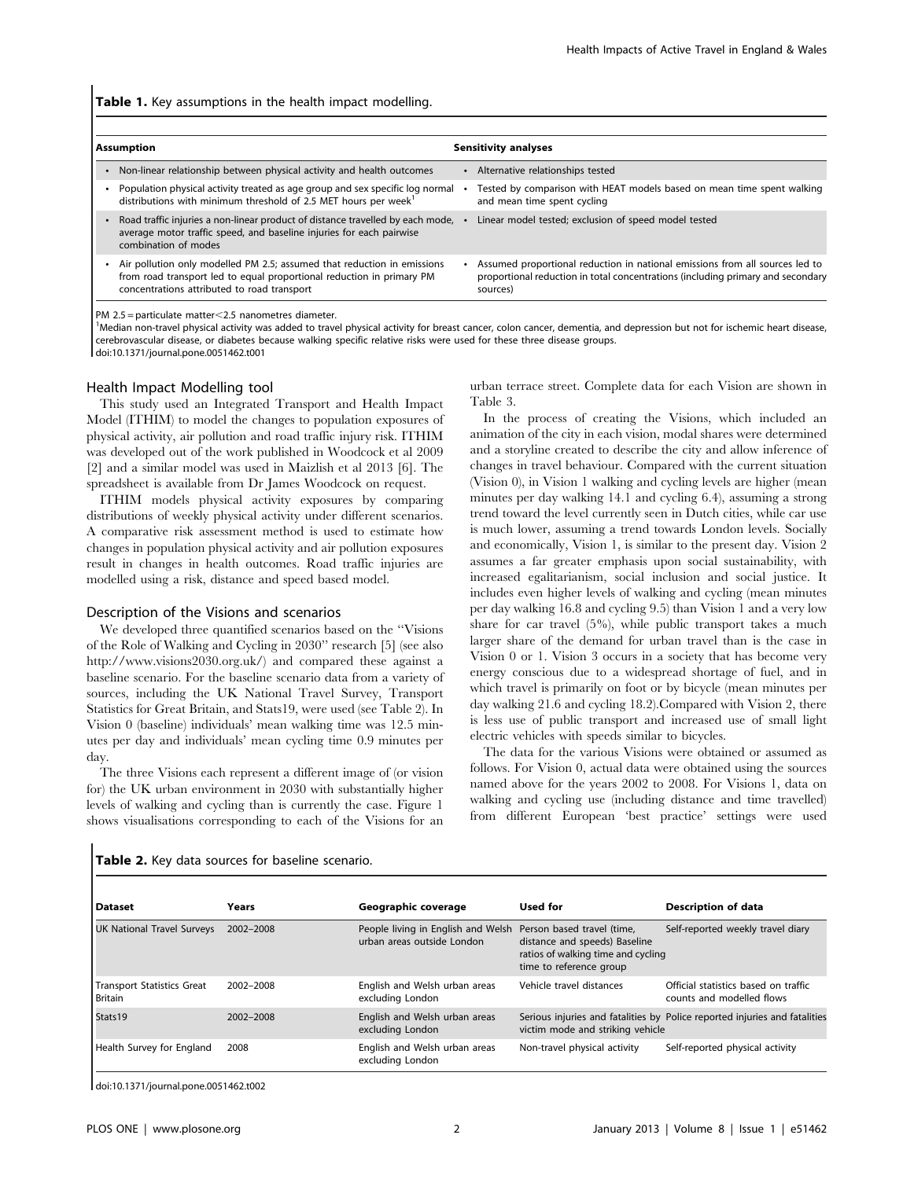# Table 1. Key assumptions in the health impact modelling.

| <b>Assumption</b>                                                                                                                                                                               | <b>Sensitivity analyses</b>                                                                                                                                                 |
|-------------------------------------------------------------------------------------------------------------------------------------------------------------------------------------------------|-----------------------------------------------------------------------------------------------------------------------------------------------------------------------------|
| Non-linear relationship between physical activity and health outcomes                                                                                                                           | Alternative relationships tested                                                                                                                                            |
| Population physical activity treated as age group and sex specific log normal<br>distributions with minimum threshold of 2.5 MET hours per week <sup>1</sup>                                    | Tested by comparison with HEAT models based on mean time spent walking<br>and mean time spent cycling                                                                       |
| Road traffic injuries a non-linear product of distance travelled by each mode,<br>average motor traffic speed, and baseline injuries for each pairwise<br>combination of modes                  | Linear model tested; exclusion of speed model tested                                                                                                                        |
| Air pollution only modelled PM 2.5; assumed that reduction in emissions<br>from road transport led to equal proportional reduction in primary PM<br>concentrations attributed to road transport | Assumed proportional reduction in national emissions from all sources led to<br>proportional reduction in total concentrations (including primary and secondary<br>sources) |
|                                                                                                                                                                                                 |                                                                                                                                                                             |

PM 2.5 = particulate matter<2.5 nanometres diameter.<br><sup>1</sup>Median non-travel physical activity was added to travel physical activity for breast cancer, colon cancer, dementia, and depression but not for ischemic heart disease cerebrovascular disease, or diabetes because walking specific relative risks were used for these three disease groups. doi:10.1371/journal.pone.0051462.t001

#### Health Impact Modelling tool

This study used an Integrated Transport and Health Impact Model (ITHIM) to model the changes to population exposures of physical activity, air pollution and road traffic injury risk. ITHIM was developed out of the work published in Woodcock et al 2009 [2] and a similar model was used in Maizlish et al 2013 [6]. The spreadsheet is available from Dr James Woodcock on request.

ITHIM models physical activity exposures by comparing distributions of weekly physical activity under different scenarios. A comparative risk assessment method is used to estimate how changes in population physical activity and air pollution exposures result in changes in health outcomes. Road traffic injuries are modelled using a risk, distance and speed based model.

#### Description of the Visions and scenarios

We developed three quantified scenarios based on the ''Visions of the Role of Walking and Cycling in 2030'' research [5] (see also http://www.visions2030.org.uk/) and compared these against a baseline scenario. For the baseline scenario data from a variety of sources, including the UK National Travel Survey, Transport Statistics for Great Britain, and Stats19, were used (see Table 2). In Vision 0 (baseline) individuals' mean walking time was 12.5 minutes per day and individuals' mean cycling time 0.9 minutes per day.

The three Visions each represent a different image of (or vision for) the UK urban environment in 2030 with substantially higher levels of walking and cycling than is currently the case. Figure 1 shows visualisations corresponding to each of the Visions for an

urban terrace street. Complete data for each Vision are shown in Table 3.

In the process of creating the Visions, which included an animation of the city in each vision, modal shares were determined and a storyline created to describe the city and allow inference of changes in travel behaviour. Compared with the current situation (Vision 0), in Vision 1 walking and cycling levels are higher (mean minutes per day walking 14.1 and cycling 6.4), assuming a strong trend toward the level currently seen in Dutch cities, while car use is much lower, assuming a trend towards London levels. Socially and economically, Vision 1, is similar to the present day. Vision 2 assumes a far greater emphasis upon social sustainability, with increased egalitarianism, social inclusion and social justice. It includes even higher levels of walking and cycling (mean minutes per day walking 16.8 and cycling 9.5) than Vision 1 and a very low share for car travel (5%), while public transport takes a much larger share of the demand for urban travel than is the case in Vision 0 or 1. Vision 3 occurs in a society that has become very energy conscious due to a widespread shortage of fuel, and in which travel is primarily on foot or by bicycle (mean minutes per day walking 21.6 and cycling 18.2).Compared with Vision 2, there is less use of public transport and increased use of small light electric vehicles with speeds similar to bicycles.

The data for the various Visions were obtained or assumed as follows. For Vision 0, actual data were obtained using the sources named above for the years 2002 to 2008. For Visions 1, data on walking and cycling use (including distance and time travelled) from different European 'best practice' settings were used

| Table 2. Key data sources for baseline scenario. |  |  |  |  |  |
|--------------------------------------------------|--|--|--|--|--|
|--------------------------------------------------|--|--|--|--|--|

| l Dataset                                    | Years     | Geographic coverage                                                                         | <b>Used for</b>                                                                                | <b>Description of data</b>                                                 |
|----------------------------------------------|-----------|---------------------------------------------------------------------------------------------|------------------------------------------------------------------------------------------------|----------------------------------------------------------------------------|
| UK National Travel Surveys                   | 2002-2008 | People living in English and Welsh Person based travel (time,<br>urban areas outside London | distance and speeds) Baseline<br>ratios of walking time and cycling<br>time to reference group | Self-reported weekly travel diary                                          |
| Transport Statistics Great<br><b>Britain</b> | 2002-2008 | English and Welsh urban areas<br>excluding London                                           | Vehicle travel distances                                                                       | Official statistics based on traffic<br>counts and modelled flows          |
| Stats19                                      | 2002-2008 | English and Welsh urban areas<br>excluding London                                           | victim mode and striking vehicle                                                               | Serious injuries and fatalities by Police reported injuries and fatalities |
| Health Survey for England                    | 2008      | English and Welsh urban areas<br>excluding London                                           | Non-travel physical activity                                                                   | Self-reported physical activity                                            |
|                                              |           |                                                                                             |                                                                                                |                                                                            |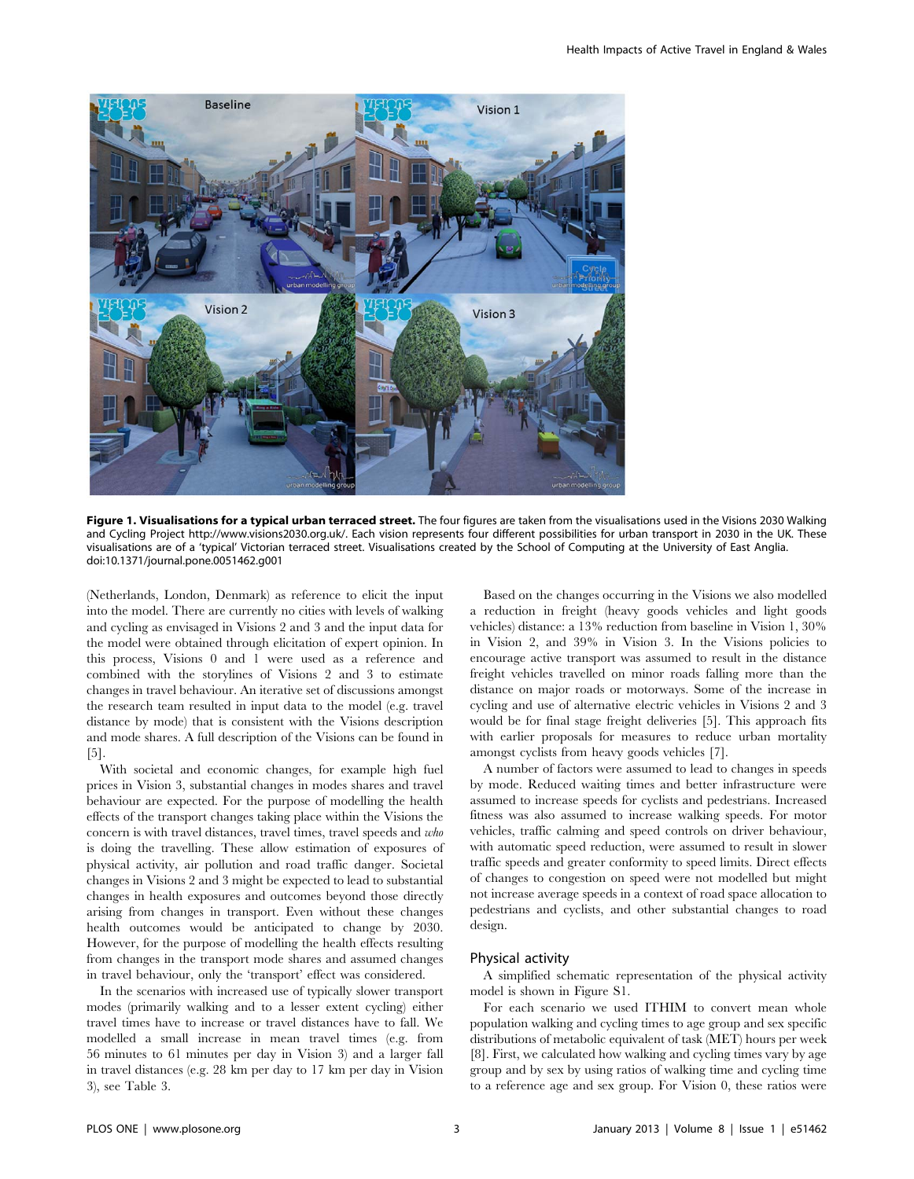

Figure 1. Visualisations for a typical urban terraced street. The four figures are taken from the visualisations used in the Visions 2030 Walking and Cycling Project http://www.visions2030.org.uk/. Each vision represents four different possibilities for urban transport in 2030 in the UK. These visualisations are of a 'typical' Victorian terraced street. Visualisations created by the School of Computing at the University of East Anglia. doi:10.1371/journal.pone.0051462.g001

(Netherlands, London, Denmark) as reference to elicit the input into the model. There are currently no cities with levels of walking and cycling as envisaged in Visions 2 and 3 and the input data for the model were obtained through elicitation of expert opinion. In this process, Visions 0 and 1 were used as a reference and combined with the storylines of Visions 2 and 3 to estimate changes in travel behaviour. An iterative set of discussions amongst the research team resulted in input data to the model (e.g. travel distance by mode) that is consistent with the Visions description and mode shares. A full description of the Visions can be found in [5].

With societal and economic changes, for example high fuel prices in Vision 3, substantial changes in modes shares and travel behaviour are expected. For the purpose of modelling the health effects of the transport changes taking place within the Visions the concern is with travel distances, travel times, travel speeds and who is doing the travelling. These allow estimation of exposures of physical activity, air pollution and road traffic danger. Societal changes in Visions 2 and 3 might be expected to lead to substantial changes in health exposures and outcomes beyond those directly arising from changes in transport. Even without these changes health outcomes would be anticipated to change by 2030. However, for the purpose of modelling the health effects resulting from changes in the transport mode shares and assumed changes in travel behaviour, only the 'transport' effect was considered.

In the scenarios with increased use of typically slower transport modes (primarily walking and to a lesser extent cycling) either travel times have to increase or travel distances have to fall. We modelled a small increase in mean travel times (e.g. from 56 minutes to 61 minutes per day in Vision 3) and a larger fall in travel distances (e.g. 28 km per day to 17 km per day in Vision 3), see Table 3.

Based on the changes occurring in the Visions we also modelled a reduction in freight (heavy goods vehicles and light goods vehicles) distance: a 13% reduction from baseline in Vision 1, 30% in Vision 2, and 39% in Vision 3. In the Visions policies to encourage active transport was assumed to result in the distance freight vehicles travelled on minor roads falling more than the distance on major roads or motorways. Some of the increase in cycling and use of alternative electric vehicles in Visions 2 and 3 would be for final stage freight deliveries [5]. This approach fits with earlier proposals for measures to reduce urban mortality amongst cyclists from heavy goods vehicles [7].

A number of factors were assumed to lead to changes in speeds by mode. Reduced waiting times and better infrastructure were assumed to increase speeds for cyclists and pedestrians. Increased fitness was also assumed to increase walking speeds. For motor vehicles, traffic calming and speed controls on driver behaviour, with automatic speed reduction, were assumed to result in slower traffic speeds and greater conformity to speed limits. Direct effects of changes to congestion on speed were not modelled but might not increase average speeds in a context of road space allocation to pedestrians and cyclists, and other substantial changes to road design.

# Physical activity

A simplified schematic representation of the physical activity model is shown in Figure S1.

For each scenario we used ITHIM to convert mean whole population walking and cycling times to age group and sex specific distributions of metabolic equivalent of task (MET) hours per week [8]. First, we calculated how walking and cycling times vary by age group and by sex by using ratios of walking time and cycling time to a reference age and sex group. For Vision 0, these ratios were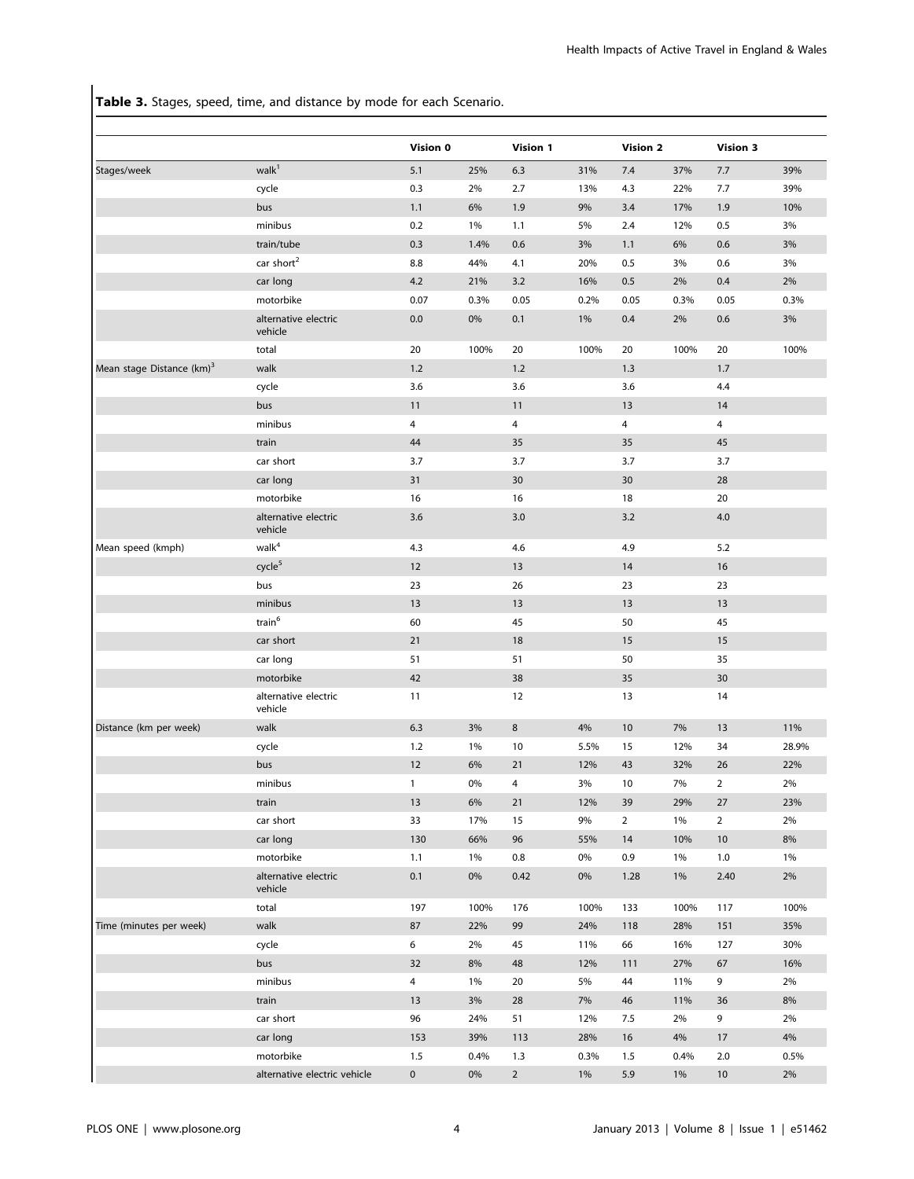Table 3. Stages, speed, time, and distance by mode for each Scenario.

|                                       |                                 | Vision 0                |       | Vision 1       |       | Vision 2       |      | Vision 3       |       |
|---------------------------------------|---------------------------------|-------------------------|-------|----------------|-------|----------------|------|----------------|-------|
| Stages/week                           | walk <sup>1</sup>               | 5.1                     | 25%   | 6.3            | 31%   | 7.4            | 37%  | 7.7            | 39%   |
|                                       | cycle                           | 0.3                     | 2%    | 2.7            | 13%   | 4.3            | 22%  | 7.7            | 39%   |
|                                       | bus                             | 1.1                     | 6%    | 1.9            | 9%    | 3.4            | 17%  | 1.9            | 10%   |
|                                       | minibus                         | 0.2                     | 1%    | 1.1            | 5%    | 2.4            | 12%  | 0.5            | 3%    |
|                                       | train/tube                      | 0.3                     | 1.4%  | 0.6            | 3%    | 1.1            | 6%   | 0.6            | 3%    |
|                                       | car short <sup>2</sup>          | 8.8                     | 44%   | 4.1            | 20%   | 0.5            | 3%   | 0.6            | 3%    |
|                                       | car long                        | 4.2                     | 21%   | 3.2            | 16%   | 0.5            | 2%   | 0.4            | 2%    |
|                                       | motorbike                       | 0.07                    | 0.3%  | 0.05           | 0.2%  | 0.05           | 0.3% | 0.05           | 0.3%  |
|                                       | alternative electric<br>vehicle | 0.0                     | $0\%$ | 0.1            | 1%    | 0.4            | 2%   | 0.6            | 3%    |
|                                       | total                           | 20                      | 100%  | 20             | 100%  | 20             | 100% | 20             | 100%  |
| Mean stage Distance (km) <sup>3</sup> | walk                            | 1.2                     |       | 1.2            |       | 1.3            |      | 1.7            |       |
|                                       | cycle                           | 3.6                     |       | 3.6            |       | 3.6            |      | 4.4            |       |
|                                       | bus                             | 11                      |       | 11             |       | 13             |      | 14             |       |
|                                       | minibus                         | 4                       |       | 4              |       | 4              |      | $\overline{4}$ |       |
|                                       | train                           | 44                      |       | 35             |       | 35             |      | 45             |       |
|                                       | car short                       | 3.7                     |       | 3.7            |       | 3.7            |      | 3.7            |       |
|                                       | car long                        | 31                      |       | 30             |       | 30             |      | 28             |       |
|                                       | motorbike                       | 16                      |       | 16             |       | 18             |      | 20             |       |
|                                       | alternative electric<br>vehicle | 3.6                     |       | 3.0            |       | 3.2            |      | 4.0            |       |
| Mean speed (kmph)                     | $\mathsf{walk}^4$               | 4.3                     |       | 4.6            |       | 4.9            |      | 5.2            |       |
|                                       | cycle <sup>5</sup>              | 12                      |       | 13             |       | 14             |      | 16             |       |
|                                       | bus                             | 23                      |       | 26             |       | 23             |      | 23             |       |
|                                       | minibus                         | 13                      |       | 13             |       | 13             |      | 13             |       |
|                                       | train <sup>6</sup>              | 60                      |       | 45             |       | 50             |      | 45             |       |
|                                       | car short                       | 21                      |       | 18             |       | 15             |      | 15             |       |
|                                       | car long                        | 51                      |       | 51             |       | 50             |      | 35             |       |
|                                       | motorbike                       | 42                      |       | 38             |       | 35             |      | 30             |       |
|                                       | alternative electric<br>vehicle | 11                      |       | 12             |       | 13             |      | 14             |       |
| Distance (km per week)                | walk                            | 6.3                     | 3%    | 8              | 4%    | 10             | 7%   | 13             | 11%   |
|                                       | cycle                           | 1.2                     | 1%    | 10             | 5.5%  | 15             | 12%  | 34             | 28.9% |
|                                       | bus                             | 12                      | 6%    | 21             | 12%   | 43             | 32%  | 26             | 22%   |
|                                       | minibus                         | $\mathbf{1}$            | 0%    | 4              | 3%    | 10             | 7%   | $\overline{2}$ | 2%    |
|                                       | train                           | 13                      | 6%    | 21             | 12%   | 39             | 29%  | 27             | 23%   |
|                                       | car short                       | 33                      | 17%   | 15             | 9%    | $\overline{2}$ | 1%   | $\overline{2}$ | 2%    |
|                                       | car long                        | 130                     | 66%   | 96             | 55%   | 14             | 10%  | 10             | 8%    |
|                                       | motorbike                       | 1.1                     | 1%    | 0.8            | 0%    | 0.9            | 1%   | 1.0            | 1%    |
|                                       | alternative electric<br>vehicle | 0.1                     | $0\%$ | 0.42           | 0%    | 1.28           | 1%   | 2.40           | 2%    |
|                                       | total                           | 197                     | 100%  | 176            | 100%  | 133            | 100% | 117            | 100%  |
| Time (minutes per week)               | walk                            | 87                      | 22%   | 99             | 24%   | 118            | 28%  | 151            | 35%   |
|                                       | cycle                           | 6                       | 2%    | 45             | 11%   | 66             | 16%  | 127            | 30%   |
|                                       | bus                             | 32                      | 8%    | 48             | 12%   | 111            | 27%  | 67             | 16%   |
|                                       | minibus                         | $\overline{\mathbf{4}}$ | 1%    | 20             | 5%    | 44             | 11%  | 9              | 2%    |
|                                       | train                           | 13                      | 3%    | 28             | 7%    | 46             | 11%  | 36             | 8%    |
|                                       | car short                       | 96                      | 24%   | 51             | 12%   | 7.5            | 2%   | 9              | $2\%$ |
|                                       | car long                        | 153                     | 39%   | 113            | 28%   | 16             | 4%   | 17             | 4%    |
|                                       | motorbike                       | 1.5                     | 0.4%  | 1.3            | 0.3%  | 1.5            | 0.4% | 2.0            | 0.5%  |
|                                       | alternative electric vehicle    | $\pmb{0}$               | $0\%$ | $\overline{2}$ | $1\%$ | 5.9            | 1%   | $10\,$         | 2%    |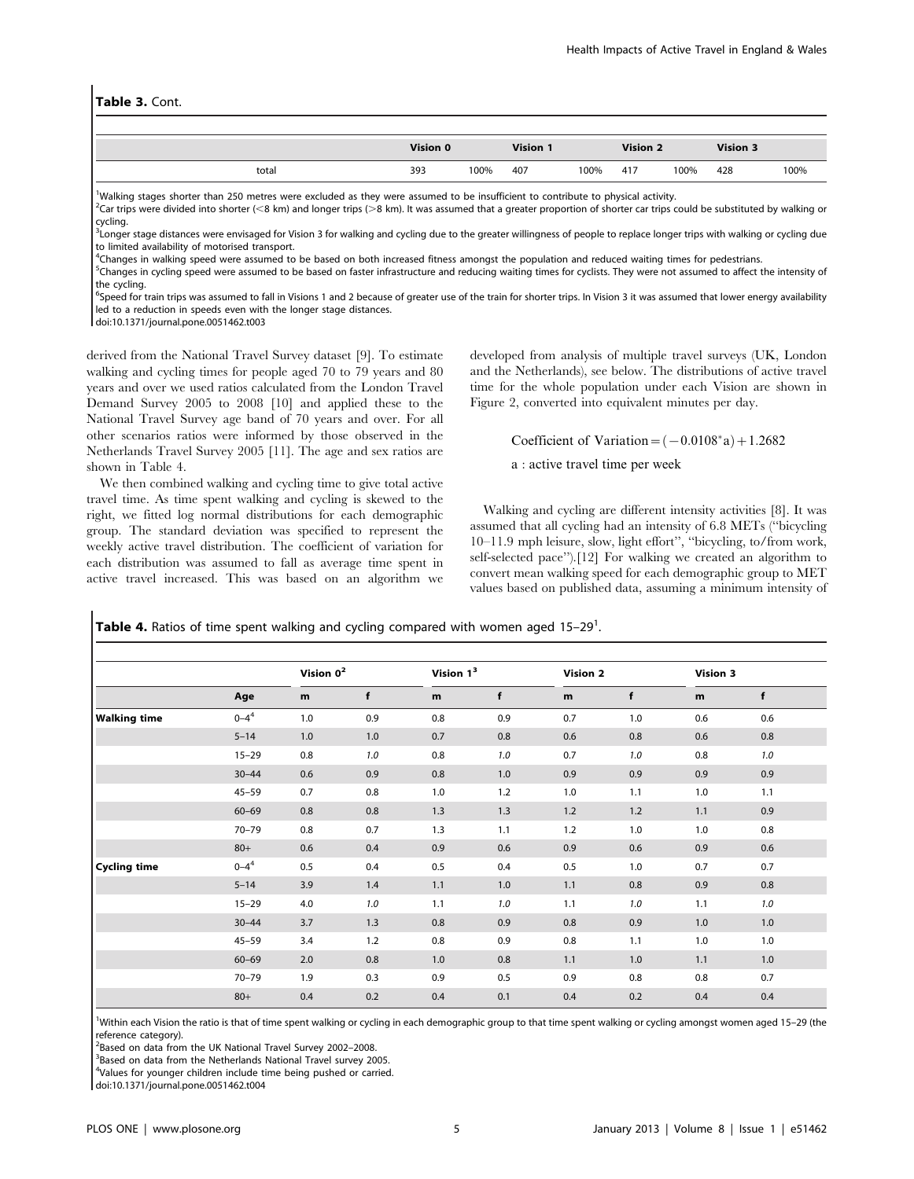|       | Vision 0 |      | <b>Vision 1</b> |      | <b>Vision 2</b> |      | <b>Vision 3</b> |      |
|-------|----------|------|-----------------|------|-----------------|------|-----------------|------|
| total | 393      | 100% | 407             | 100% | 417             | 100% | 428             | 100% |

<sup>1</sup>Walking stages shorter than 250 metres were excluded as they were assumed to be insufficient to contribute to physical activity.

<sup>2</sup>Car trips were divided into shorter (<8 km) and longer trips (>8 km). It was assumed that a greater proportion of shorter car trips could be substituted by walking or cycling.

<sup>3</sup>Longer stage distances were envisaged for Vision 3 for walking and cycling due to the greater willingness of people to replace longer trips with walking or cycling due to limited availability of motorised transport.

4 Changes in walking speed were assumed to be based on both increased fitness amongst the population and reduced waiting times for pedestrians.

<sup>5</sup>Changes in cycling speed were assumed to be based on faster infrastructure and reducing waiting times for cyclists. They were not assumed to affect the intensity of the cycling.

<sup>6</sup>Speed for train trips was assumed to fall in Visions 1 and 2 because of greater use of the train for shorter trips. In Vision 3 it was assumed that lower energy availability led to a reduction in speeds even with the longer stage distances.

doi:10.1371/journal.pone.0051462.t003

derived from the National Travel Survey dataset [9]. To estimate walking and cycling times for people aged 70 to 79 years and 80 years and over we used ratios calculated from the London Travel Demand Survey 2005 to 2008 [10] and applied these to the National Travel Survey age band of 70 years and over. For all other scenarios ratios were informed by those observed in the Netherlands Travel Survey 2005 [11]. The age and sex ratios are shown in Table 4.

We then combined walking and cycling time to give total active travel time. As time spent walking and cycling is skewed to the right, we fitted log normal distributions for each demographic group. The standard deviation was specified to represent the weekly active travel distribution. The coefficient of variation for each distribution was assumed to fall as average time spent in active travel increased. This was based on an algorithm we developed from analysis of multiple travel surveys (UK, London and the Netherlands), see below. The distributions of active travel time for the whole population under each Vision are shown in Figure 2, converted into equivalent minutes per day.

Coefficient of Variation =  $(-0.0108<sup>*</sup>a) + 1.2682$ 

a : active travel time per week

Walking and cycling are different intensity activities [8]. It was assumed that all cycling had an intensity of 6.8 METs (''bicycling 10–11.9 mph leisure, slow, light effort'', ''bicycling, to/from work, self-selected pace'').[12] For walking we created an algorithm to convert mean walking speed for each demographic group to MET values based on published data, assuming a minimum intensity of

|                     |           | Vision $0^2$ |         | Vision $13$ |             | Vision 2 |       | Vision 3 |       |
|---------------------|-----------|--------------|---------|-------------|-------------|----------|-------|----------|-------|
|                     | Age       | m            | f       | m           | $\mathbf f$ | m        | f     | m        | f     |
| <b>Walking time</b> | $0 - 4^4$ | $1.0$        | 0.9     | 0.8         | 0.9         | 0.7      | 1.0   | 0.6      | 0.6   |
|                     | $5 - 14$  | $1.0$        | $1.0$   | 0.7         | 0.8         | 0.6      | 0.8   | 0.6      | 0.8   |
|                     | $15 - 29$ | 0.8          | 1.0     | 0.8         | 1.0         | 0.7      | 1.0   | 0.8      | 1.0   |
|                     | $30 - 44$ | 0.6          | 0.9     | 0.8         | 1.0         | 0.9      | 0.9   | 0.9      | 0.9   |
|                     | $45 - 59$ | 0.7          | 0.8     | 1.0         | 1.2         | 1.0      | 1.1   | 1.0      | 1.1   |
|                     | $60 - 69$ | 0.8          | 0.8     | 1.3         | 1.3         | 1.2      | 1.2   | 1.1      | 0.9   |
|                     | $70 - 79$ | 0.8          | 0.7     | 1.3         | 1.1         | 1.2      | 1.0   | 1.0      | 0.8   |
|                     | $80+$     | 0.6          | 0.4     | 0.9         | 0.6         | 0.9      | 0.6   | 0.9      | 0.6   |
| <b>Cycling time</b> | $0 - 4^4$ | 0.5          | 0.4     | 0.5         | 0.4         | 0.5      | 1.0   | 0.7      | 0.7   |
|                     | $5 - 14$  | 3.9          | 1.4     | 1.1         | 1.0         | 1.1      | 0.8   | 0.9      | 0.8   |
|                     | $15 - 29$ | 4.0          | $1.0\,$ | 1.1         | $1.0\,$     | 1.1      | $1.0$ | 1.1      | 1.0   |
|                     | $30 - 44$ | 3.7          | 1.3     | 0.8         | 0.9         | 0.8      | 0.9   | 1.0      | $1.0$ |
|                     | $45 - 59$ | 3.4          | 1.2     | 0.8         | 0.9         | 0.8      | 1.1   | 1.0      | 1.0   |
|                     | $60 - 69$ | 2.0          | 0.8     | $1.0$       | 0.8         | 1.1      | $1.0$ | 1.1      | 1.0   |
|                     | $70 - 79$ | 1.9          | 0.3     | 0.9         | 0.5         | 0.9      | 0.8   | 0.8      | 0.7   |
|                     | $80 +$    | 0.4          | 0.2     | 0.4         | 0.1         | 0.4      | 0.2   | 0.4      | 0.4   |

Table 4. Ratios of time spent walking and cycling compared with women aged 15-29<sup>1</sup>.

<sup>1</sup>Within each Vision the ratio is that of time spent walking or cycling in each demographic group to that time spent walking or cycling amongst women aged 15-29 (the reference category).

2 Based on data from the UK National Travel Survey 2002–2008.

<sup>3</sup>Based on data from the Netherlands National Travel survey 2005.

<sup>4</sup>Values for younger children include time being pushed or carried.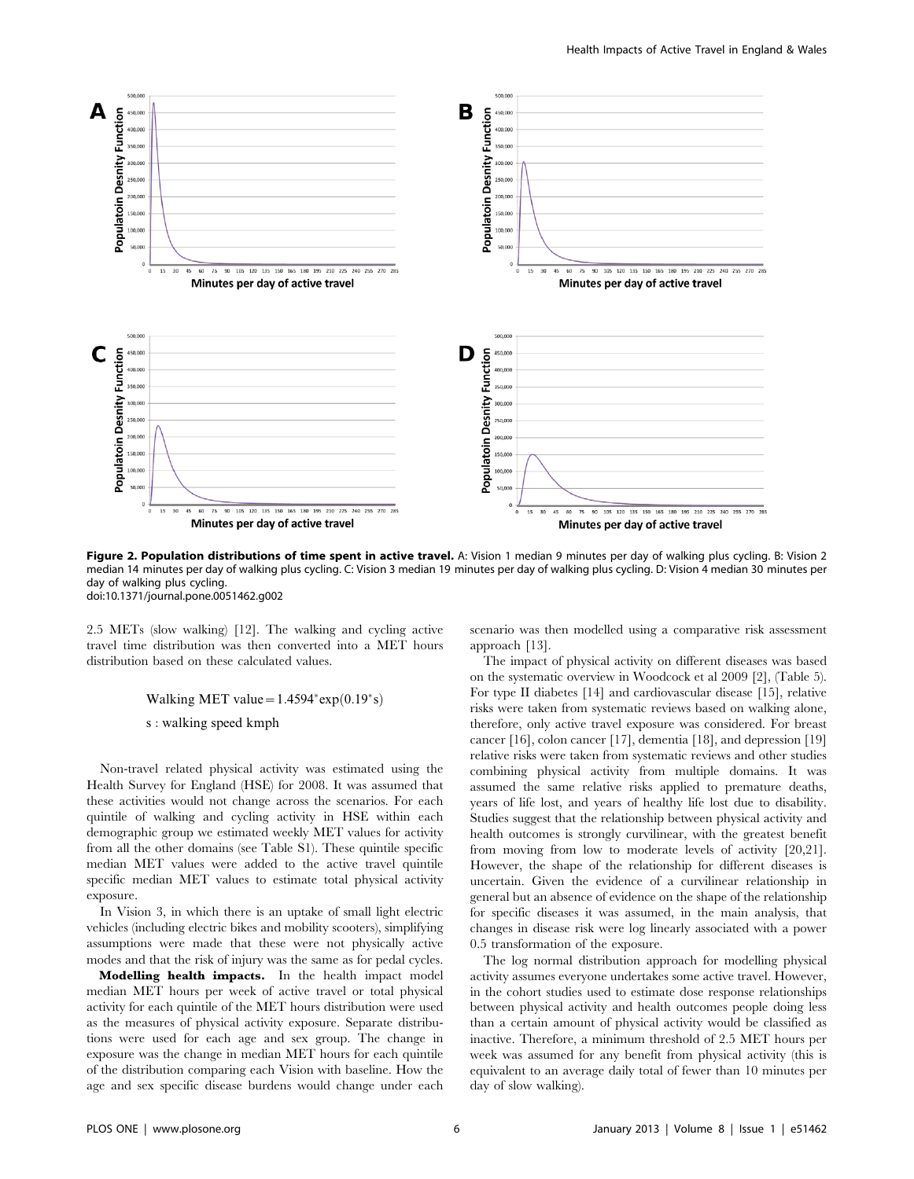

Figure 2. Population distributions of time spent in active travel. A: Vision 1 median 9 minutes per day of walking plus cycling. B: Vision 2 median 14 minutes per day of walking plus cycling. C: Vision 3 median 19 minutes per day of walking plus cycling. D: Vision 4 median 30 minutes per day of walking plus cycling. doi:10.1371/journal.pone.0051462.g002

2.5 METs (slow walking) [12]. The walking and cycling active travel time distribution was then converted into a MET hours distribution based on these calculated values.

# Walking MET value =  $1.4594*exp(0.19*s)$ s : walking speed kmph

Non-travel related physical activity was estimated using the Health Survey for England (HSE) for 2008. It was assumed that these activities would not change across the scenarios. For each quintile of walking and cycling activity in HSE within each demographic group we estimated weekly MET values for activity from all the other domains (see Table S1). These quintile specific median MET values were added to the active travel quintile specific median MET values to estimate total physical activity exposure.

In Vision 3, in which there is an uptake of small light electric vehicles (including electric bikes and mobility scooters), simplifying assumptions were made that these were not physically active modes and that the risk of injury was the same as for pedal cycles.

Modelling health impacts. In the health impact model median MET hours per week of active travel or total physical activity for each quintile of the MET hours distribution were used as the measures of physical activity exposure. Separate distributions were used for each age and sex group. The change in exposure was the change in median MET hours for each quintile of the distribution comparing each Vision with baseline. How the age and sex specific disease burdens would change under each scenario was then modelled using a comparative risk assessment approach [13].

The impact of physical activity on different diseases was based on the systematic overview in Woodcock et al 2009 [2], (Table 5). For type II diabetes [14] and cardiovascular disease [15], relative risks were taken from systematic reviews based on walking alone, therefore, only active travel exposure was considered. For breast cancer [16], colon cancer [17], dementia [18], and depression [19] relative risks were taken from systematic reviews and other studies combining physical activity from multiple domains. It was assumed the same relative risks applied to premature deaths, years of life lost, and years of healthy life lost due to disability. Studies suggest that the relationship between physical activity and health outcomes is strongly curvilinear, with the greatest benefit from moving from low to moderate levels of activity [20,21]. However, the shape of the relationship for different diseases is uncertain. Given the evidence of a curvilinear relationship in general but an absence of evidence on the shape of the relationship for specific diseases it was assumed, in the main analysis, that changes in disease risk were log linearly associated with a power 0.5 transformation of the exposure.

The log normal distribution approach for modelling physical activity assumes everyone undertakes some active travel. However, in the cohort studies used to estimate dose response relationships between physical activity and health outcomes people doing less than a certain amount of physical activity would be classified as inactive. Therefore, a minimum threshold of 2.5 MET hours per week was assumed for any benefit from physical activity (this is equivalent to an average daily total of fewer than 10 minutes per day of slow walking).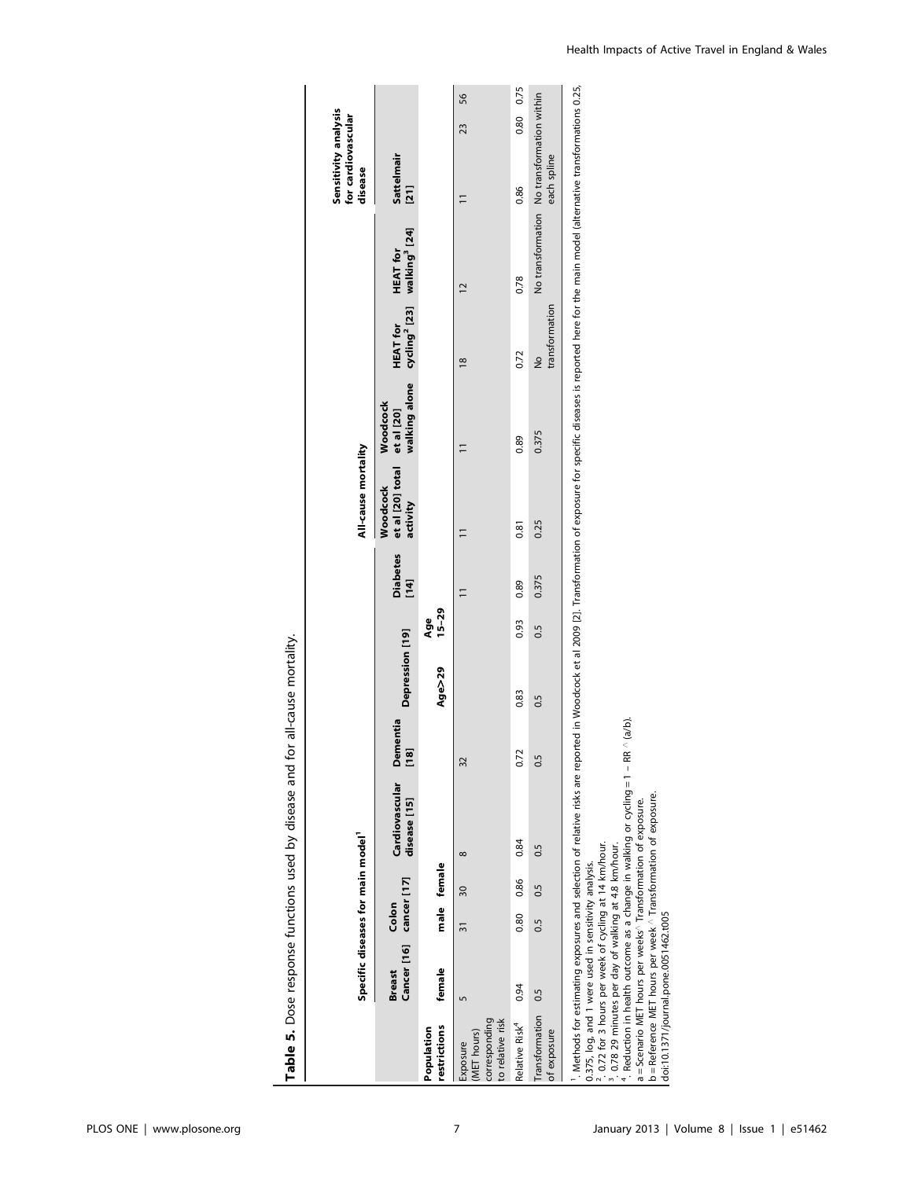|                                                              | Specific diseases for main model                                                                                                                                                                                                                                                                                                                                                                 |       |             |                                                                                                                                                                                                                                                                                                                                        |        |                 |                  |                         | All-cause mortality                      |                                         |                                              |                                              | Sensitivity analysis<br>for cardiovascular<br>disease |           |
|--------------------------------------------------------------|--------------------------------------------------------------------------------------------------------------------------------------------------------------------------------------------------------------------------------------------------------------------------------------------------------------------------------------------------------------------------------------------------|-------|-------------|----------------------------------------------------------------------------------------------------------------------------------------------------------------------------------------------------------------------------------------------------------------------------------------------------------------------------------------|--------|-----------------|------------------|-------------------------|------------------------------------------|-----------------------------------------|----------------------------------------------|----------------------------------------------|-------------------------------------------------------|-----------|
|                                                              | Cancer [16] cancer [17]<br><b>Breast</b>                                                                                                                                                                                                                                                                                                                                                         | Colon |             | Cardiovascular Dementia<br>disease [15]                                                                                                                                                                                                                                                                                                | $[18]$ | Depression [19] |                  | <b>Diabetes</b><br>[14] | et al [20] total<br>Woodcock<br>activity | walking alone<br>Woodcock<br>et al [20] | cycling <sup>2</sup> [23]<br><b>HEAT for</b> | walking <sup>3</sup> [24]<br><b>HEAT for</b> | Sattelmair<br>$[21]$                                  |           |
| restrictions<br>Population                                   | female                                                                                                                                                                                                                                                                                                                                                                                           |       | male female |                                                                                                                                                                                                                                                                                                                                        |        | Age>29          | $15 - 29$<br>Age |                         |                                          |                                         |                                              |                                              |                                                       |           |
| corresponding<br>to relative risk<br>(MET hours)<br>Exposure | 5                                                                                                                                                                                                                                                                                                                                                                                                | 51    | 30          | $\infty$                                                                                                                                                                                                                                                                                                                               | 32     |                 |                  | $\equiv$                |                                          |                                         | $\frac{8}{2}$                                | $\overline{12}$                              | 23                                                    | 56        |
| Relative Risk <sup>4</sup>                                   | 0.94                                                                                                                                                                                                                                                                                                                                                                                             | 0.80  | 0.86        | 0.84                                                                                                                                                                                                                                                                                                                                   | 0.72   | 0.83            | 0.93             | 0.89                    | 0.81                                     | 0.89                                    | 0.72                                         | 0.78                                         | 0.86                                                  | 0.80 0.75 |
| Transformation 0.5<br>of exposure                            |                                                                                                                                                                                                                                                                                                                                                                                                  | 0.5   | 0.5         | 0.5                                                                                                                                                                                                                                                                                                                                    | 0.5    | 0.5             | 0.5              | 0.375                   | 0.25                                     | 0.375                                   | transformation<br>ş                          | No transformation No transformation within   | each spline                                           |           |
|                                                              | $b =$ Reference MET hours per week $\wedge$ Transformation of exposure.<br>a = Scenario MET hours per weeks <sup>^</sup> Transformation of exposure.<br><sup>3</sup> . 0.78 29 minutes per day of walking at 4.8 km/hour.<br><sup>2</sup> . 0.72 for 3 hours per week of cycling at 14 km/hour.<br>0.375, log, and 1 were used in sensitivity analysis.<br>doi:10.1371/journal.pone.0051462.t005 |       |             | Methods for estimating exposures and selection of relative risks are reported in Woodcock et al 2009 [2]. Transformation of exposure for specific diseases is reported here for the main model (alternative transformations 0.<br><sup>4</sup> . Reduction in health outcome as a change in walking or cycling = 1 - RR $\land$ (a/b). |        |                 |                  |                         |                                          |                                         |                                              |                                              |                                                       |           |

Table 5. Dose response functions used by disease and for all-cause mortality. Table 5. Dose response functions used by disease and for all-cause mortality.

Health Impacts of Active Travel in England & Wales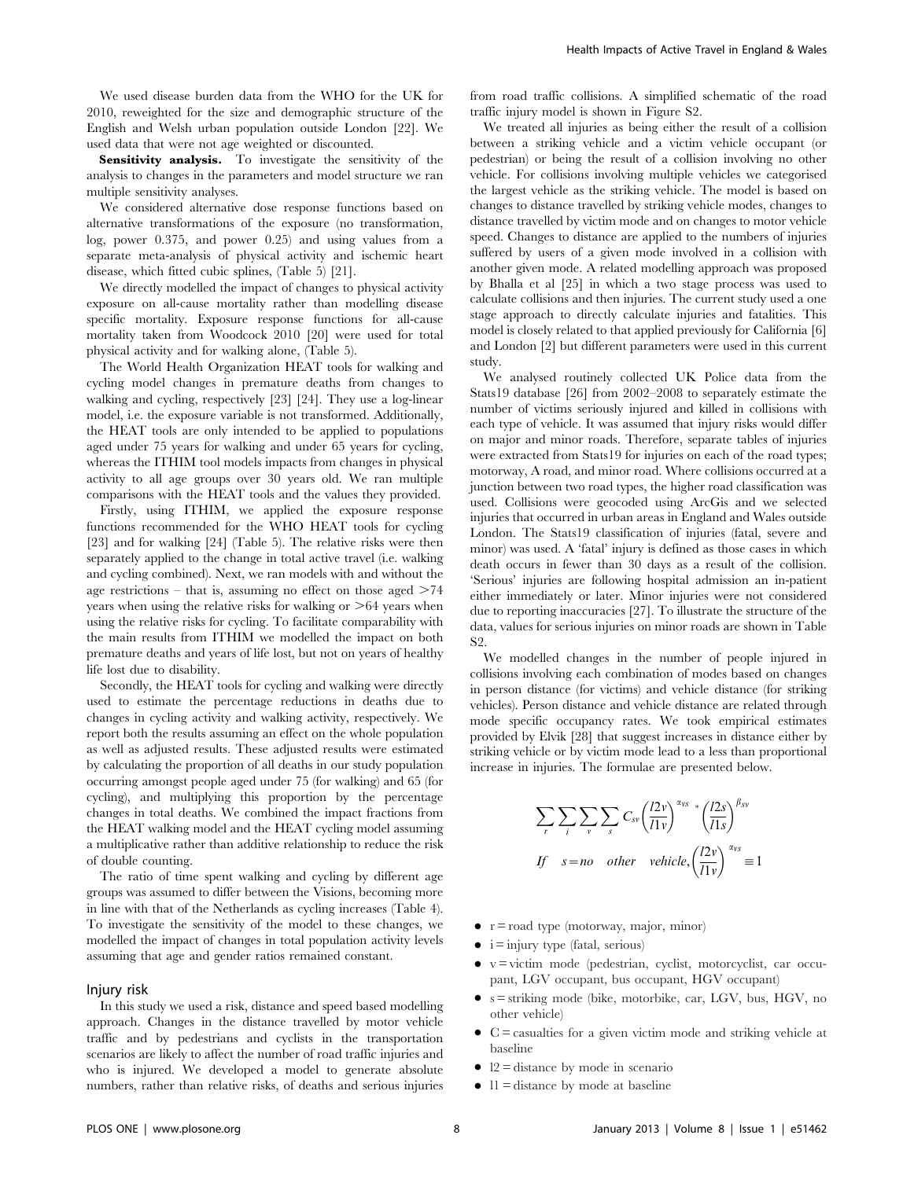We used disease burden data from the WHO for the UK for 2010, reweighted for the size and demographic structure of the English and Welsh urban population outside London [22]. We used data that were not age weighted or discounted.

Sensitivity analysis. To investigate the sensitivity of the analysis to changes in the parameters and model structure we ran multiple sensitivity analyses.

We considered alternative dose response functions based on alternative transformations of the exposure (no transformation, log, power 0.375, and power 0.25) and using values from a separate meta-analysis of physical activity and ischemic heart disease, which fitted cubic splines, (Table 5) [21].

We directly modelled the impact of changes to physical activity exposure on all-cause mortality rather than modelling disease specific mortality. Exposure response functions for all-cause mortality taken from Woodcock 2010 [20] were used for total physical activity and for walking alone, (Table 5).

The World Health Organization HEAT tools for walking and cycling model changes in premature deaths from changes to walking and cycling, respectively [23] [24]. They use a log-linear model, i.e. the exposure variable is not transformed. Additionally, the HEAT tools are only intended to be applied to populations aged under 75 years for walking and under 65 years for cycling, whereas the ITHIM tool models impacts from changes in physical activity to all age groups over 30 years old. We ran multiple comparisons with the HEAT tools and the values they provided.

Firstly, using ITHIM, we applied the exposure response functions recommended for the WHO HEAT tools for cycling [23] and for walking [24] (Table 5). The relative risks were then separately applied to the change in total active travel (i.e. walking and cycling combined). Next, we ran models with and without the age restrictions – that is, assuming no effect on those aged  $>74$ years when using the relative risks for walking or  $>64$  years when using the relative risks for cycling. To facilitate comparability with the main results from ITHIM we modelled the impact on both premature deaths and years of life lost, but not on years of healthy life lost due to disability.

Secondly, the HEAT tools for cycling and walking were directly used to estimate the percentage reductions in deaths due to changes in cycling activity and walking activity, respectively. We report both the results assuming an effect on the whole population as well as adjusted results. These adjusted results were estimated by calculating the proportion of all deaths in our study population occurring amongst people aged under 75 (for walking) and 65 (for cycling), and multiplying this proportion by the percentage changes in total deaths. We combined the impact fractions from the HEAT walking model and the HEAT cycling model assuming a multiplicative rather than additive relationship to reduce the risk of double counting.

The ratio of time spent walking and cycling by different age groups was assumed to differ between the Visions, becoming more in line with that of the Netherlands as cycling increases (Table 4). To investigate the sensitivity of the model to these changes, we modelled the impact of changes in total population activity levels assuming that age and gender ratios remained constant.

#### Injury risk

In this study we used a risk, distance and speed based modelling approach. Changes in the distance travelled by motor vehicle traffic and by pedestrians and cyclists in the transportation scenarios are likely to affect the number of road traffic injuries and who is injured. We developed a model to generate absolute numbers, rather than relative risks, of deaths and serious injuries

from road traffic collisions. A simplified schematic of the road traffic injury model is shown in Figure S2.

We treated all injuries as being either the result of a collision between a striking vehicle and a victim vehicle occupant (or pedestrian) or being the result of a collision involving no other vehicle. For collisions involving multiple vehicles we categorised the largest vehicle as the striking vehicle. The model is based on changes to distance travelled by striking vehicle modes, changes to distance travelled by victim mode and on changes to motor vehicle speed. Changes to distance are applied to the numbers of injuries suffered by users of a given mode involved in a collision with another given mode. A related modelling approach was proposed by Bhalla et al [25] in which a two stage process was used to calculate collisions and then injuries. The current study used a one stage approach to directly calculate injuries and fatalities. This model is closely related to that applied previously for California [6] and London [2] but different parameters were used in this current study.

We analysed routinely collected UK Police data from the Stats19 database [26] from 2002–2008 to separately estimate the number of victims seriously injured and killed in collisions with each type of vehicle. It was assumed that injury risks would differ on major and minor roads. Therefore, separate tables of injuries were extracted from Stats19 for injuries on each of the road types; motorway, A road, and minor road. Where collisions occurred at a junction between two road types, the higher road classification was used. Collisions were geocoded using ArcGis and we selected injuries that occurred in urban areas in England and Wales outside London. The Stats19 classification of injuries (fatal, severe and minor) was used. A 'fatal' injury is defined as those cases in which death occurs in fewer than 30 days as a result of the collision. 'Serious' injuries are following hospital admission an in-patient either immediately or later. Minor injuries were not considered due to reporting inaccuracies [27]. To illustrate the structure of the data, values for serious injuries on minor roads are shown in Table S2.

We modelled changes in the number of people injured in collisions involving each combination of modes based on changes in person distance (for victims) and vehicle distance (for striking vehicles). Person distance and vehicle distance are related through mode specific occupancy rates. We took empirical estimates provided by Elvik [28] that suggest increases in distance either by striking vehicle or by victim mode lead to a less than proportional increase in injuries. The formulae are presented below.

$$
\sum_{r} \sum_{i} \sum_{v} \sum_{s} C_{sv} \left(\frac{l2v}{l1v}\right)^{\alpha_{VS}} \left(\frac{l2s}{l1s}\right)^{\beta_{SV}}
$$
  
If  $s = no$  other vehicle,  $\left(\frac{l2v}{l1v}\right)^{\alpha_{VS}} \equiv 1$ 

- $\bullet$  r = road type (motorway, major, minor)
- $\bullet$  i = injury type (fatal, serious)
- $\bullet$  v = victim mode (pedestrian, cyclist, motorcyclist, car occupant, LGV occupant, bus occupant, HGV occupant)
- $\bullet$  s = striking mode (bike, motorbike, car, LGV, bus, HGV, no other vehicle)
- $\bullet$  C = casualties for a given victim mode and striking vehicle at baseline
- $\bullet$  12 = distance by mode in scenario
- $\bullet$  11 = distance by mode at baseline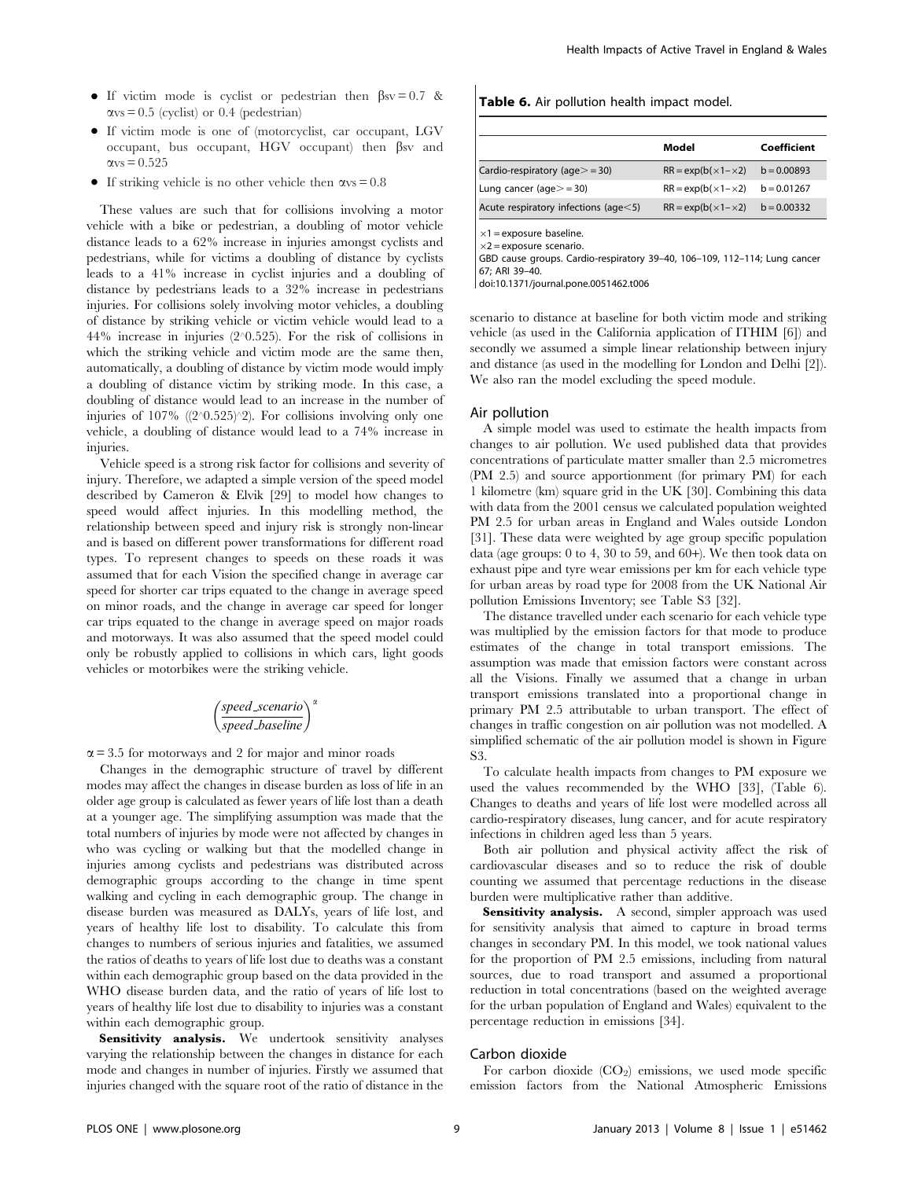- If victim mode is cyclist or pedestrian then  $\beta_{SV} = 0.7 \&$  $\alpha$ vs = 0.5 (cyclist) or 0.4 (pedestrian)
- N If victim mode is one of (motorcyclist, car occupant, LGV occupant, bus occupant, HGV occupant) then bsv and  $\alpha$ vs = 0.525
- If striking vehicle is no other vehicle then  $\alpha v s = 0.8$

These values are such that for collisions involving a motor vehicle with a bike or pedestrian, a doubling of motor vehicle distance leads to a 62% increase in injuries amongst cyclists and pedestrians, while for victims a doubling of distance by cyclists leads to a 41% increase in cyclist injuries and a doubling of distance by pedestrians leads to a 32% increase in pedestrians injuries. For collisions solely involving motor vehicles, a doubling of distance by striking vehicle or victim vehicle would lead to a 44% increase in injuries (2'0.525). For the risk of collisions in which the striking vehicle and victim mode are the same then, automatically, a doubling of distance by victim mode would imply a doubling of distance victim by striking mode. In this case, a doubling of distance would lead to an increase in the number of injuries of  $107\%$  ((2 $\sim$ 0.525 $\ge$ 2). For collisions involving only one vehicle, a doubling of distance would lead to a 74% increase in injuries.

Vehicle speed is a strong risk factor for collisions and severity of injury. Therefore, we adapted a simple version of the speed model described by Cameron & Elvik [29] to model how changes to speed would affect injuries. In this modelling method, the relationship between speed and injury risk is strongly non-linear and is based on different power transformations for different road types. To represent changes to speeds on these roads it was assumed that for each Vision the specified change in average car speed for shorter car trips equated to the change in average speed on minor roads, and the change in average car speed for longer car trips equated to the change in average speed on major roads and motorways. It was also assumed that the speed model could only be robustly applied to collisions in which cars, light goods vehicles or motorbikes were the striking vehicle.

$$
\left(\frac{speed\_scenario}{speed\_baseline}\right)^{\alpha}
$$

 $\alpha$  = 3.5 for motorways and 2 for major and minor roads

Changes in the demographic structure of travel by different modes may affect the changes in disease burden as loss of life in an older age group is calculated as fewer years of life lost than a death at a younger age. The simplifying assumption was made that the total numbers of injuries by mode were not affected by changes in who was cycling or walking but that the modelled change in injuries among cyclists and pedestrians was distributed across demographic groups according to the change in time spent walking and cycling in each demographic group. The change in disease burden was measured as DALYs, years of life lost, and years of healthy life lost to disability. To calculate this from changes to numbers of serious injuries and fatalities, we assumed the ratios of deaths to years of life lost due to deaths was a constant within each demographic group based on the data provided in the WHO disease burden data, and the ratio of years of life lost to years of healthy life lost due to disability to injuries was a constant within each demographic group.

Sensitivity analysis. We undertook sensitivity analyses varying the relationship between the changes in distance for each mode and changes in number of injuries. Firstly we assumed that injuries changed with the square root of the ratio of distance in the

#### Table 6. Air pollution health impact model.

|                                      | Model                             | Coefficient   |
|--------------------------------------|-----------------------------------|---------------|
| Cardio-respiratory (age>=30)         | $RR = exp(b(x1-x2)$ $b = 0.00893$ |               |
| Lung cancer (age $>$ = 30)           | $RR = exp(b(x1-x2)$ $b = 0.01267$ |               |
| Acute respiratory infections (age<5) | $RR = exp(b(x1-x2))$              | $b = 0.00332$ |

 $x1$  = exposure baseline.

 $\times$ 2 = exposure scenario.

GBD cause groups. Cardio-respiratory 39–40, 106–109, 112–114; Lung cancer 67; ARI 39–40.

doi:10.1371/journal.pone.0051462.t006

scenario to distance at baseline for both victim mode and striking vehicle (as used in the California application of ITHIM [6]) and secondly we assumed a simple linear relationship between injury and distance (as used in the modelling for London and Delhi [2]). We also ran the model excluding the speed module.

#### Air pollution

A simple model was used to estimate the health impacts from changes to air pollution. We used published data that provides concentrations of particulate matter smaller than 2.5 micrometres (PM 2.5) and source apportionment (for primary PM) for each 1 kilometre (km) square grid in the UK [30]. Combining this data with data from the 2001 census we calculated population weighted PM 2.5 for urban areas in England and Wales outside London [31]. These data were weighted by age group specific population data (age groups: 0 to 4, 30 to 59, and 60+). We then took data on exhaust pipe and tyre wear emissions per km for each vehicle type for urban areas by road type for 2008 from the UK National Air pollution Emissions Inventory; see Table S3 [32].

The distance travelled under each scenario for each vehicle type was multiplied by the emission factors for that mode to produce estimates of the change in total transport emissions. The assumption was made that emission factors were constant across all the Visions. Finally we assumed that a change in urban transport emissions translated into a proportional change in primary PM 2.5 attributable to urban transport. The effect of changes in traffic congestion on air pollution was not modelled. A simplified schematic of the air pollution model is shown in Figure S3.

To calculate health impacts from changes to PM exposure we used the values recommended by the WHO [33], (Table 6). Changes to deaths and years of life lost were modelled across all cardio-respiratory diseases, lung cancer, and for acute respiratory infections in children aged less than 5 years.

Both air pollution and physical activity affect the risk of cardiovascular diseases and so to reduce the risk of double counting we assumed that percentage reductions in the disease burden were multiplicative rather than additive.

Sensitivity analysis. A second, simpler approach was used for sensitivity analysis that aimed to capture in broad terms changes in secondary PM. In this model, we took national values for the proportion of PM 2.5 emissions, including from natural sources, due to road transport and assumed a proportional reduction in total concentrations (based on the weighted average for the urban population of England and Wales) equivalent to the percentage reduction in emissions [34].

#### Carbon dioxide

For carbon dioxide  $(CO_2)$  emissions, we used mode specific emission factors from the National Atmospheric Emissions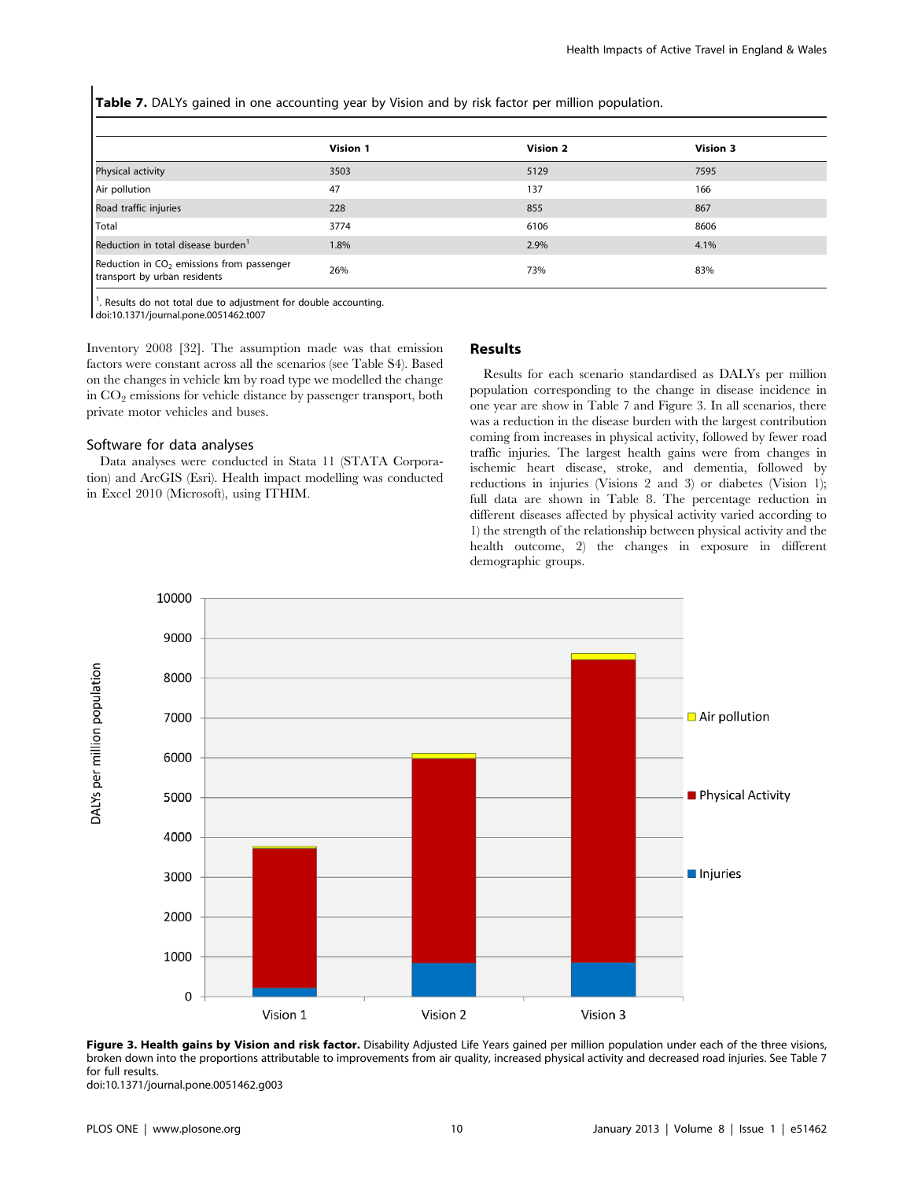Table 7. DALYs gained in one accounting year by Vision and by risk factor per million population.

|                                                                                       | Vision 1 | Vision 2 | Vision 3 |
|---------------------------------------------------------------------------------------|----------|----------|----------|
| Physical activity                                                                     | 3503     | 5129     | 7595     |
| Air pollution                                                                         | 47       | 137      | 166      |
| Road traffic injuries                                                                 | 228      | 855      | 867      |
| l Total                                                                               | 3774     | 6106     | 8606     |
| Reduction in total disease burden <sup>1</sup>                                        | 1.8%     | 2.9%     | 4.1%     |
| Reduction in CO <sub>2</sub> emissions from passenger<br>transport by urban residents | 26%      | 73%      | 83%      |

1 . Results do not total due to adjustment for double accounting.

doi:10.1371/journal.pone.0051462.t007

Inventory 2008 [32]. The assumption made was that emission factors were constant across all the scenarios (see Table S4). Based on the changes in vehicle km by road type we modelled the change in  $CO<sub>2</sub>$  emissions for vehicle distance by passenger transport, both private motor vehicles and buses.

#### Software for data analyses

Data analyses were conducted in Stata 11 (STATA Corporation) and ArcGIS (Esri). Health impact modelling was conducted in Excel 2010 (Microsoft), using ITHIM.

# Results

Results for each scenario standardised as DALYs per million population corresponding to the change in disease incidence in one year are show in Table 7 and Figure 3. In all scenarios, there was a reduction in the disease burden with the largest contribution coming from increases in physical activity, followed by fewer road traffic injuries. The largest health gains were from changes in ischemic heart disease, stroke, and dementia, followed by reductions in injuries (Visions 2 and 3) or diabetes (Vision 1); full data are shown in Table 8. The percentage reduction in different diseases affected by physical activity varied according to 1) the strength of the relationship between physical activity and the health outcome, 2) the changes in exposure in different demographic groups.



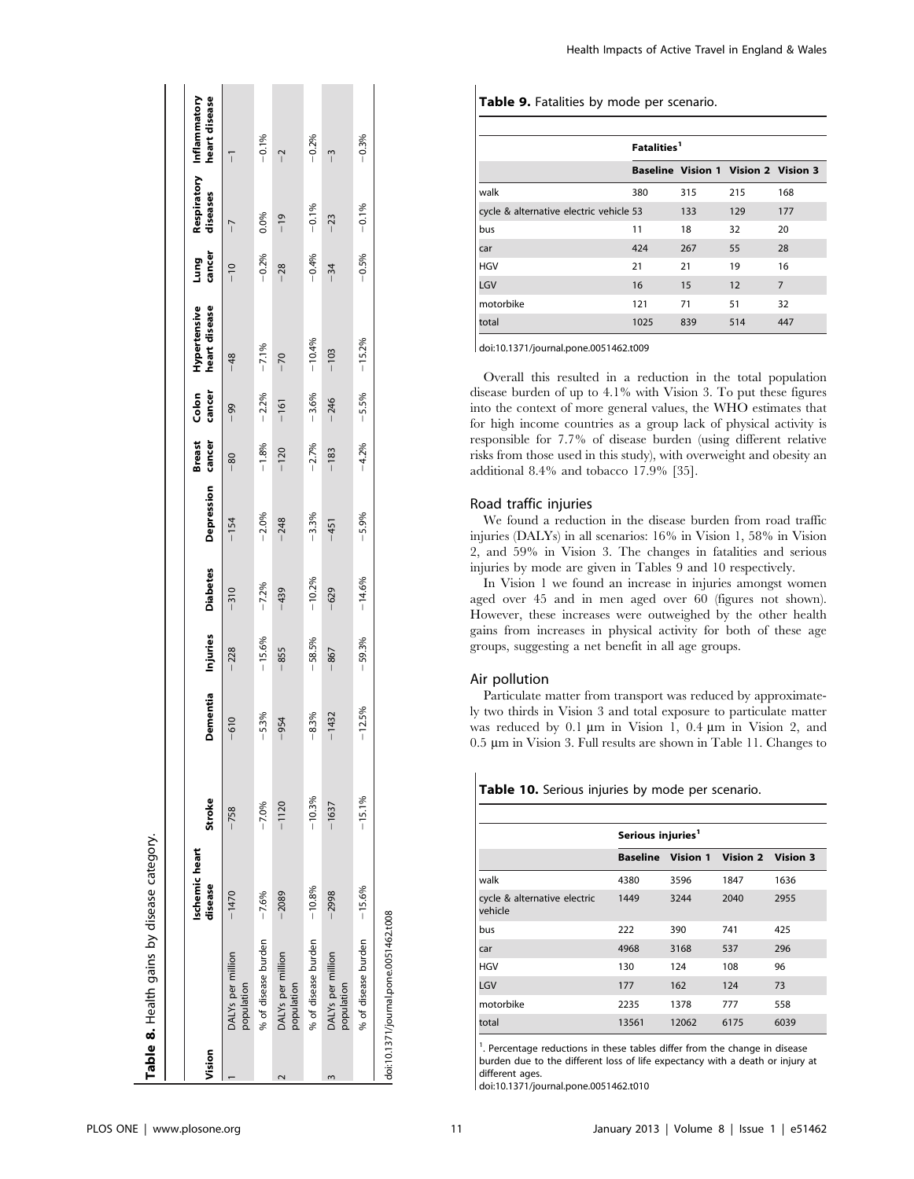|        | Table 8. Health gains by disease category. |                                  |          |          |          |                 |            |                         |                 |                               |                |          |                                           |
|--------|--------------------------------------------|----------------------------------|----------|----------|----------|-----------------|------------|-------------------------|-----------------|-------------------------------|----------------|----------|-------------------------------------------|
| Vision |                                            | <b>Ischemic heart</b><br>disease | Stroke   | Dementia | Injuries | <b>Diabetes</b> | Depression | <b>Breast</b><br>cancer | cancer<br>Colon | heart disease<br>Hypertensive | cancer<br>Lung | diseases | Respiratory Inflammatory<br>heart disease |
|        | DALYs per million<br>population            | $-1470$                          | $-758$   | $-610$   | $-228$   | $-310$          | $-154$     | $-80$                   | $-99$           | $-48$                         | $-10$          | $-7$     | ī                                         |
|        | % of disease burden                        | $-7.6%$                          | $-7.0%$  | $-5.3%$  | $-15.6%$ | $-7.2%$         | $-2.0%$    | $-1.8%$                 | $-2.2%$         | $-7.1%$                       | $-0.2%$        | 0.0%     | $-0.1%$                                   |
|        | DALYs per million<br>population            | $-2089$                          | $-1120$  | $-954$   | $-855$   | $-439$          | $-248$     | $-120$                  | $-161$          | $-70$                         | $-28$          | $-19$    | $\overline{C}$                            |
|        | % of disease burden                        | $-10.8%$                         | $-10.3%$ | $-8.3%$  | $-58.5%$ | $-10.2%$        | $-3.3%$    | $-2.7%$                 | $-3.6%$         | $-10.4%$                      | $-0.4%$        | $-0.1%$  | $-0.2%$                                   |
|        | DALYs per million<br>population            | $-2998$                          | $-1637$  | $-1432$  | $-867$   | $-629$          | $-451$     | $-183$                  | $-246$          | $-103$                        | $-34$          | $-23$    | $\overline{1}$                            |
|        | % of disease burden $-15.6%$               |                                  | $-15.1%$ | $-12.5%$ | $-59.3%$ | $-14.6%$        | $-5.9%$    | $-4.2%$                 | $-5.5%$         | $-15.2%$                      | $-0.5%$        | $-0.1%$  | $-0.3%$                                   |
|        | doi:10.1371/journal.pone.0051462.t008      |                                  |          |          |          |                 |            |                         |                 |                               |                |          |                                           |

#### Table 9. Fatalities by mode per scenario.

|                                         | Fatalities <sup>1</sup> |     |                                     |     |
|-----------------------------------------|-------------------------|-----|-------------------------------------|-----|
|                                         |                         |     | Baseline Vision 1 Vision 2 Vision 3 |     |
| walk                                    | 380                     | 315 | 215                                 | 168 |
| cycle & alternative electric vehicle 53 |                         | 133 | 129                                 | 177 |
| bus                                     | 11                      | 18  | 32                                  | 20  |
| car                                     | 424                     | 267 | 55                                  | 28  |
| <b>HGV</b>                              | 21                      | 21  | 19                                  | 16  |
| LGV                                     | 16                      | 15  | 12                                  | 7   |
| motorbike                               | 121                     | 71  | 51                                  | 32  |
| total                                   | 1025                    | 839 | 514                                 | 447 |

doi:10.1371/journal.pone.0051462.t009

Overall this resulted in a reduction in the total population disease burden of up to 4.1% with Vision 3. To put these figures into the context of more general values, the WHO estimates that for high income countries as a group lack of physical activity is responsible for 7.7% of disease burden (using different relative risks from those used in this study), with overweight and obesity an additional 8.4% and tobacco 17.9% [35].

#### Road traffic injuries

We found a reduction in the disease burden from road traffic injuries (DALYs) in all scenarios: 16% in Vision 1, 58% in Vision 2, and 59% in Vision 3. The changes in fatalities and serious injuries by mode are given in Tables 9 and 10 respectively.

In Vision 1 we found an increase in injuries amongst women aged over 45 and in men aged over 60 (figures not shown). However, these increases were outweighed by the other health gains from increases in physical activity for both of these age groups, suggesting a net benefit in all age groups.

#### Air pollution

 $\mathbf{L}$ 

Particulate matter from transport was reduced by approximately two thirds in Vision 3 and total exposure to particulate matter was reduced by  $0.1 \mu m$  in Vision 1,  $0.4 \mu m$  in Vision 2, and  $0.5 \mu m$  in Vision 3. Full results are shown in Table 11. Changes to

| Table 10. Serious injuries by mode per scenario. |  |  |  |  |  |
|--------------------------------------------------|--|--|--|--|--|
|--------------------------------------------------|--|--|--|--|--|

|                                         | Serious injuries <sup>1</sup> |       |                                     |      |  |  |  |
|-----------------------------------------|-------------------------------|-------|-------------------------------------|------|--|--|--|
|                                         |                               |       | Baseline Vision 1 Vision 2 Vision 3 |      |  |  |  |
| walk                                    | 4380                          | 3596  | 1847                                | 1636 |  |  |  |
| cycle & alternative electric<br>vehicle | 1449                          | 3244  | 2040                                | 2955 |  |  |  |
| bus                                     | 222                           | 390   | 741                                 | 425  |  |  |  |
| car                                     | 4968                          | 3168  | 537                                 | 296  |  |  |  |
| <b>HGV</b>                              | 130                           | 124   | 108                                 | 96   |  |  |  |
| LGV                                     | 177                           | 162   | 124                                 | 73   |  |  |  |
| motorbike                               | 2235                          | 1378  | 777                                 | 558  |  |  |  |
| total                                   | 13561                         | 12062 | 6175                                | 6039 |  |  |  |

<sup>1</sup>. Percentage reductions in these tables differ from the change in disease burden due to the different loss of life expectancy with a death or injury at different ages.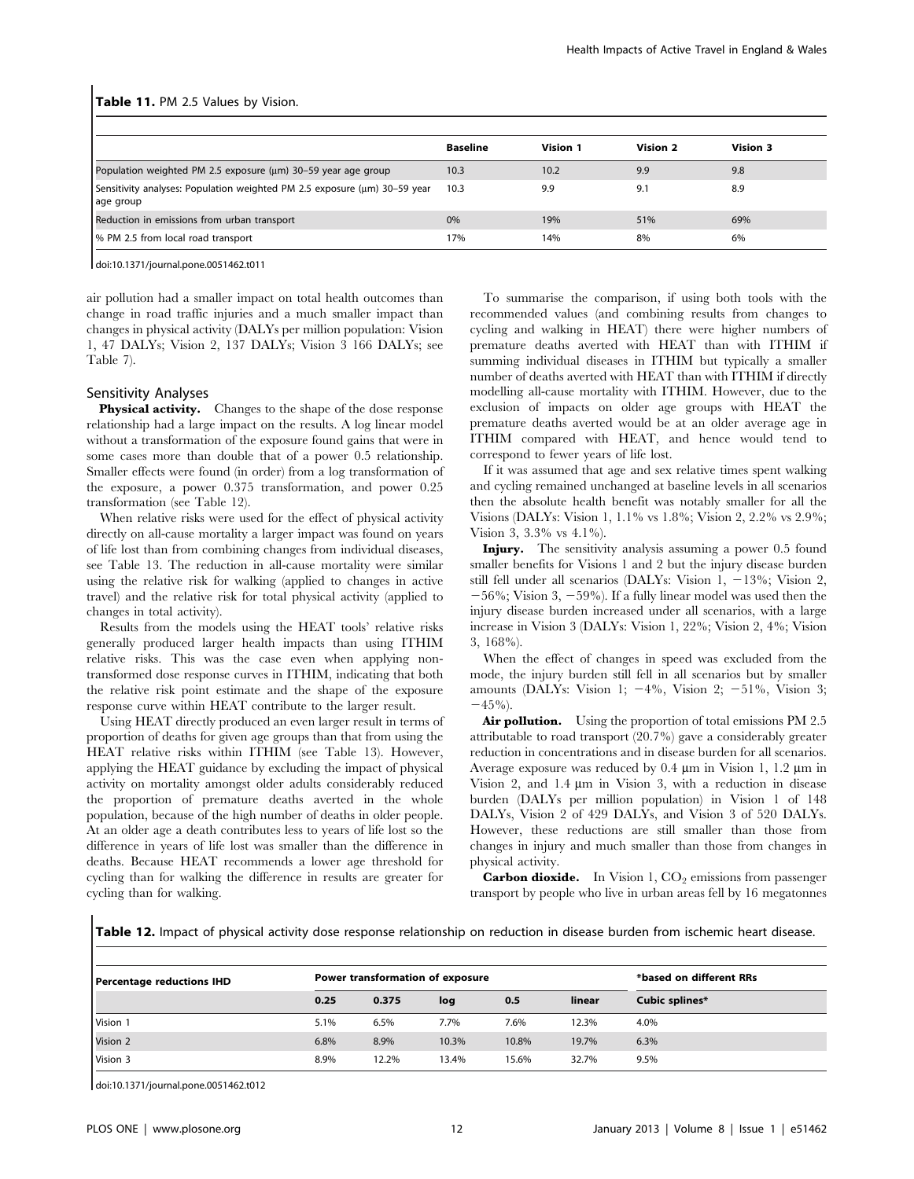#### Table 11. PM 2.5 Values by Vision.

|                                                                                        | <b>Baseline</b> | Vision 1 | Vision 2 | Vision 3 |
|----------------------------------------------------------------------------------------|-----------------|----------|----------|----------|
| Population weighted PM 2.5 exposure (um) 30-59 year age group                          | 10.3            | 10.2     | 9.9      | 9.8      |
| Sensitivity analyses: Population weighted PM 2.5 exposure (um) 30-59 year<br>age group | 10.3            | 9.9      | 9.1      | 8.9      |
| Reduction in emissions from urban transport                                            | 0%              | 19%      | 51%      | 69%      |
| Ⅰ% PM 2.5 from local road transport                                                    | 17%             | 14%      | 8%       | 6%       |

doi:10.1371/journal.pone.0051462.t011

air pollution had a smaller impact on total health outcomes than change in road traffic injuries and a much smaller impact than changes in physical activity (DALYs per million population: Vision 1, 47 DALYs; Vision 2, 137 DALYs; Vision 3 166 DALYs; see Table 7).

#### Sensitivity Analyses

Physical activity. Changes to the shape of the dose response relationship had a large impact on the results. A log linear model without a transformation of the exposure found gains that were in some cases more than double that of a power 0.5 relationship. Smaller effects were found (in order) from a log transformation of the exposure, a power 0.375 transformation, and power 0.25 transformation (see Table 12).

When relative risks were used for the effect of physical activity directly on all-cause mortality a larger impact was found on years of life lost than from combining changes from individual diseases, see Table 13. The reduction in all-cause mortality were similar using the relative risk for walking (applied to changes in active travel) and the relative risk for total physical activity (applied to changes in total activity).

Results from the models using the HEAT tools' relative risks generally produced larger health impacts than using ITHIM relative risks. This was the case even when applying nontransformed dose response curves in ITHIM, indicating that both the relative risk point estimate and the shape of the exposure response curve within HEAT contribute to the larger result.

Using HEAT directly produced an even larger result in terms of proportion of deaths for given age groups than that from using the HEAT relative risks within ITHIM (see Table 13). However, applying the HEAT guidance by excluding the impact of physical activity on mortality amongst older adults considerably reduced the proportion of premature deaths averted in the whole population, because of the high number of deaths in older people. At an older age a death contributes less to years of life lost so the difference in years of life lost was smaller than the difference in deaths. Because HEAT recommends a lower age threshold for cycling than for walking the difference in results are greater for cycling than for walking.

To summarise the comparison, if using both tools with the recommended values (and combining results from changes to cycling and walking in HEAT) there were higher numbers of premature deaths averted with HEAT than with ITHIM if summing individual diseases in ITHIM but typically a smaller number of deaths averted with HEAT than with ITHIM if directly modelling all-cause mortality with ITHIM. However, due to the exclusion of impacts on older age groups with HEAT the premature deaths averted would be at an older average age in ITHIM compared with HEAT, and hence would tend to correspond to fewer years of life lost.

If it was assumed that age and sex relative times spent walking and cycling remained unchanged at baseline levels in all scenarios then the absolute health benefit was notably smaller for all the Visions (DALYs: Vision 1, 1.1% vs 1.8%; Vision 2, 2.2% vs 2.9%; Vision 3, 3.3% vs 4.1%).

**Injury.** The sensitivity analysis assuming a power 0.5 found smaller benefits for Visions 1 and 2 but the injury disease burden still fell under all scenarios (DALYs: Vision 1,  $-13\%$ ; Vision 2,  $-56\%$ ; Vision 3,  $-59\%$ ). If a fully linear model was used then the injury disease burden increased under all scenarios, with a large increase in Vision 3 (DALYs: Vision 1, 22%; Vision 2, 4%; Vision 3, 168%).

When the effect of changes in speed was excluded from the mode, the injury burden still fell in all scenarios but by smaller amounts (DALYs: Vision 1;  $-4\%$ , Vision 2;  $-51\%$ , Vision 3;  $-45\%$ ).

Air pollution. Using the proportion of total emissions PM 2.5 attributable to road transport (20.7%) gave a considerably greater reduction in concentrations and in disease burden for all scenarios. Average exposure was reduced by  $0.4 \mu m$  in Vision 1, 1.2  $\mu m$  in Vision 2, and  $1.4 \mu m$  in Vision 3, with a reduction in disease burden (DALYs per million population) in Vision 1 of 148 DALYs, Vision 2 of 429 DALYs, and Vision 3 of 520 DALYs. However, these reductions are still smaller than those from changes in injury and much smaller than those from changes in physical activity.

**Carbon dioxide.** In Vision 1,  $CO<sub>2</sub>$  emissions from passenger transport by people who live in urban areas fell by 16 megatonnes

Table 12. Impact of physical activity dose response relationship on reduction in disease burden from ischemic heart disease.

| Percentage reductions IHD |      | Power transformation of exposure |       |       |        | *based on different RRs |
|---------------------------|------|----------------------------------|-------|-------|--------|-------------------------|
|                           | 0.25 | 0.375                            | log   | 0.5   | linear | Cubic splines*          |
| Vision 1                  | 5.1% | 6.5%                             | 7.7%  | 7.6%  | 12.3%  | 4.0%                    |
| Vision 2                  | 6.8% | 8.9%                             | 10.3% | 10.8% | 19.7%  | 6.3%                    |
| Vision 3                  | 8.9% | 12.2%                            | 13.4% | 15.6% | 32.7%  | 9.5%                    |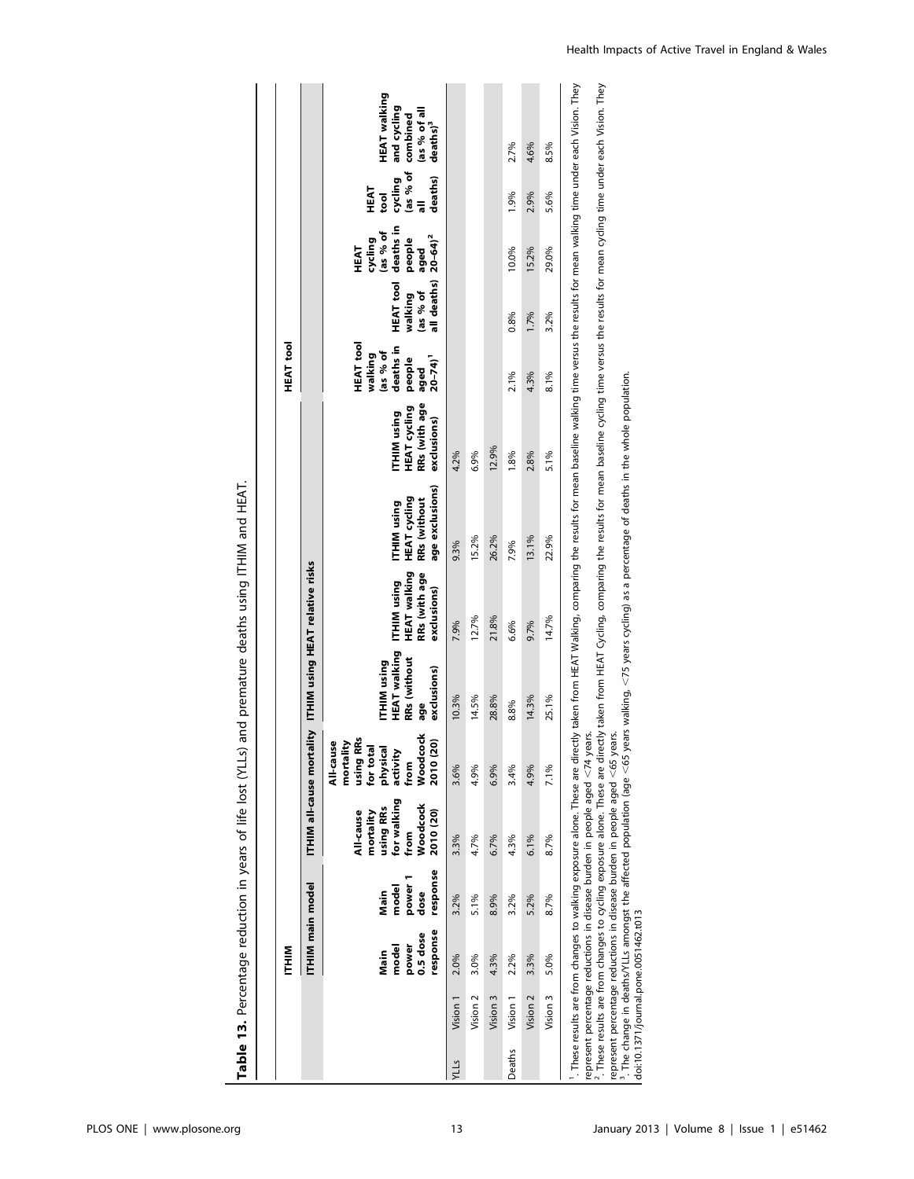| -<br>-<br>-<br>-                                                                                                                                                                                                              |   |
|-------------------------------------------------------------------------------------------------------------------------------------------------------------------------------------------------------------------------------|---|
|                                                                                                                                                                                                                               |   |
|                                                                                                                                                                                                                               | j |
|                                                                                                                                                                                                                               |   |
|                                                                                                                                                                                                                               |   |
| ;<br>)<br>)                                                                                                                                                                                                                   |   |
| י<br>י                                                                                                                                                                                                                        |   |
|                                                                                                                                                                                                                               |   |
|                                                                                                                                                                                                                               |   |
|                                                                                                                                                                                                                               |   |
| <br> <br> <br> <br>                                                                                                                                                                                                           |   |
|                                                                                                                                                                                                                               |   |
|                                                                                                                                                                                                                               |   |
| ו<br>ו<br>i                                                                                                                                                                                                                   |   |
|                                                                                                                                                                                                                               |   |
| contraction in contraction in a contraction of the contraction of the contraction of the contraction of the contraction of the contraction of the contraction of the contraction of the contraction of the contraction of the |   |
|                                                                                                                                                                                                                               |   |
|                                                                                                                                                                                                                               |   |
|                                                                                                                                                                                                                               |   |
|                                                                                                                                                                                                                               |   |
|                                                                                                                                                                                                                               |   |
|                                                                                                                                                                                                                               |   |
|                                                                                                                                                                                                                               |   |
|                                                                                                                                                                                                                               |   |
|                                                                                                                                                                                                                               |   |
| )<br>)<br>)<br>)<br>)<br>)                                                                                                                                                                                                    |   |
|                                                                                                                                                                                                                               |   |
|                                                                                                                                                                                                                               |   |
|                                                                                                                                                                                                                               |   |
| ahla 13 Dai                                                                                                                                                                                                                   |   |
| !<br>,                                                                                                                                                                                                                        |   |
|                                                                                                                                                                                                                               |   |
| lable<br>I                                                                                                                                                                                                                    |   |
|                                                                                                                                                                                                                               |   |

|        |          | Mik⊒                                           |                                            |                                                                                                                                                                                                                                                                                                                                                                           |                                                                                                          |                                                                                |                                                                    |                                                                                                                                                                                                                                                                                                                                                                                                                                                                                  |                                                                    | HEAT tool                                                                                 |                                                        |                                                                            |                                                             |                                                                                         |
|--------|----------|------------------------------------------------|--------------------------------------------|---------------------------------------------------------------------------------------------------------------------------------------------------------------------------------------------------------------------------------------------------------------------------------------------------------------------------------------------------------------------------|----------------------------------------------------------------------------------------------------------|--------------------------------------------------------------------------------|--------------------------------------------------------------------|----------------------------------------------------------------------------------------------------------------------------------------------------------------------------------------------------------------------------------------------------------------------------------------------------------------------------------------------------------------------------------------------------------------------------------------------------------------------------------|--------------------------------------------------------------------|-------------------------------------------------------------------------------------------|--------------------------------------------------------|----------------------------------------------------------------------------|-------------------------------------------------------------|-----------------------------------------------------------------------------------------|
|        |          | <b>ITHIM main model</b>                        |                                            |                                                                                                                                                                                                                                                                                                                                                                           |                                                                                                          |                                                                                | ITHIM all-cause mortality ITHIM using HEAT relative risks          |                                                                                                                                                                                                                                                                                                                                                                                                                                                                                  |                                                                    |                                                                                           |                                                        |                                                                            |                                                             |                                                                                         |
|        |          | response<br>0.5 dose<br>model<br>power<br>Main | response<br>power<br>model<br>Main<br>dose | for walking<br>Woodcock<br>using RRs<br>2010 (20)<br>mortality<br>All-cause<br>from                                                                                                                                                                                                                                                                                       | Woodcock<br>mortality<br>using RRs<br>2010 (20)<br>All-cause<br>for total<br>physica<br>activity<br>from | <b>HEAT walking</b><br>RRs (without<br><b>THIM</b> using<br>exclusions)<br>age | <b>HEAT walking</b><br>RRs (with age<br>ITHIM using<br>exclusions) | age exclusions)<br><b>HEAT cycling</b><br>RRs (without<br><b>ITHIM</b> using                                                                                                                                                                                                                                                                                                                                                                                                     | RRs (with age<br><b>HEAT cycling</b><br>ITHIM using<br>exclusions) | HEAT tool<br>deaths in<br>las % of<br>walking<br>$20 - 74$ <sup>1</sup><br>people<br>aged | <b>HEAT tool</b><br>all deaths)<br>las % of<br>walking | deaths in<br>las % of<br>$20 - 64)^2$<br>cycling<br>people<br>HEAT<br>aged | las % of<br>deaths)<br>cycling<br>HEAT<br>tool<br>$\bar{a}$ | <b>HEAT walking</b><br>and cycling<br>las % of all<br>combined<br>$deaths$ <sup>3</sup> |
| XLLS   | Vision 1 | 2.0%                                           | 3.2%                                       | 3.3%                                                                                                                                                                                                                                                                                                                                                                      | 3.6%                                                                                                     | 10.3%                                                                          | 7.9%                                                               | 9.3%                                                                                                                                                                                                                                                                                                                                                                                                                                                                             | 4.2%                                                               |                                                                                           |                                                        |                                                                            |                                                             |                                                                                         |
|        | Vision 2 | 3.0%                                           | 5.1%                                       | 4.7%                                                                                                                                                                                                                                                                                                                                                                      | 4.9%                                                                                                     | 14.5%                                                                          | 12.7%                                                              | 15.2%                                                                                                                                                                                                                                                                                                                                                                                                                                                                            | 6.9%                                                               |                                                                                           |                                                        |                                                                            |                                                             |                                                                                         |
|        | Vision 3 | 4.3%                                           | 8.9%                                       | 6.7%                                                                                                                                                                                                                                                                                                                                                                      | 6.9%                                                                                                     | 28.8%                                                                          | 21.8%                                                              | 26.2%                                                                                                                                                                                                                                                                                                                                                                                                                                                                            | 12.9%                                                              |                                                                                           |                                                        |                                                                            |                                                             |                                                                                         |
| Deaths | Vision 1 | 2.2%                                           | 3.2%                                       | 4.3%                                                                                                                                                                                                                                                                                                                                                                      | 3.4%                                                                                                     | 8.8%                                                                           | 6.6%                                                               | 7.9%                                                                                                                                                                                                                                                                                                                                                                                                                                                                             | 1.8%                                                               | 2.1%                                                                                      | 0.8%                                                   | 10.0%                                                                      | 1.9%                                                        | 2.7%                                                                                    |
|        | Vision 2 | 3.3%                                           | 5.2%                                       | 6.1%                                                                                                                                                                                                                                                                                                                                                                      | 4.9%                                                                                                     | 14.3%                                                                          | 9.7%                                                               | 13.1%                                                                                                                                                                                                                                                                                                                                                                                                                                                                            | 2.8%                                                               | 4.3%                                                                                      | 1.7%                                                   | 15.2%                                                                      | 2.9%                                                        | 4.6%                                                                                    |
|        | Vision 3 | 5.0%                                           | 8.7%                                       | 8.7%                                                                                                                                                                                                                                                                                                                                                                      | 7.1%                                                                                                     | 25.1%                                                                          | 14.7%                                                              | 22.9%                                                                                                                                                                                                                                                                                                                                                                                                                                                                            | 5.1%                                                               | 8.1%                                                                                      | 3.2%                                                   | 29.0%                                                                      | 5.6%                                                        | 8.5%                                                                                    |
|        |          | doi:10.1371/journal.pone.0051462.t013          |                                            | represent percentage reductions in disease burden in people aged $\leq$ 74 years.<br>represent percentage reductions in disease burden in people aged $\leq$ 65 years.<br><sup>2</sup> . These results are from changes to cycling exposure alone. These are dire<br>$3$ . The change in deaths/YLLs amongst the affected population (age $<$ 65 $\overline{\phantom{a}}$ |                                                                                                          |                                                                                |                                                                    | . These results are from changes to walking exposure alone. These are directly taken from the fly taken on paring the results for mean baseline walking time versus the results for mean walking time under each Vision. They<br>ectly taken from HEAT Cycling, comparing the results for mean baseline cycling time versus the results for mean cycling time under each Vision. They<br>years walking, $<$ 75 years cycling) as a percentage of deaths in the whole population. |                                                                    |                                                                                           |                                                        |                                                                            |                                                             |                                                                                         |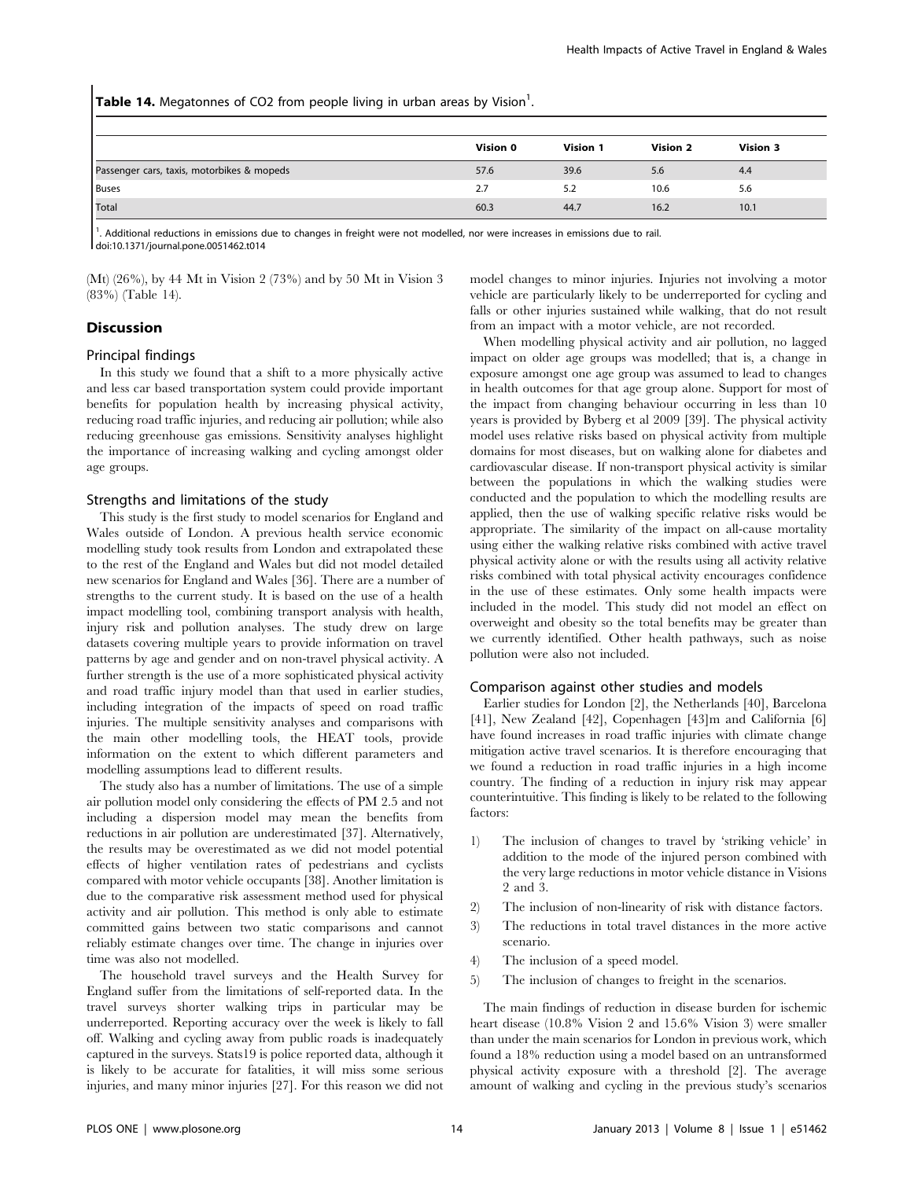Table 14. Megatonnes of CO2 from people living in urban areas by Vision<sup>1</sup>.

|                                            | Vision 0 | Vision 1 | Vision 2 | Vision 3 |
|--------------------------------------------|----------|----------|----------|----------|
| Passenger cars, taxis, motorbikes & mopeds | 57.6     | 39.6     | 5.6      | 4.4      |
| <b>Buses</b>                               | 2.7      | 5.2      | 10.6     | 5.6      |
| Total                                      | 60.3     | 44.7     | 16.2     | 10.1     |

<sup>1</sup>. Additional reductions in emissions due to changes in freight were not modelled, nor were increases in emissions due to rail. doi:10.1371/journal.pone.0051462.t014

(Mt) (26%), by 44 Mt in Vision 2 (73%) and by 50 Mt in Vision 3 (83%) (Table 14).

# Discussion

# Principal findings

In this study we found that a shift to a more physically active and less car based transportation system could provide important benefits for population health by increasing physical activity, reducing road traffic injuries, and reducing air pollution; while also reducing greenhouse gas emissions. Sensitivity analyses highlight the importance of increasing walking and cycling amongst older age groups.

#### Strengths and limitations of the study

This study is the first study to model scenarios for England and Wales outside of London. A previous health service economic modelling study took results from London and extrapolated these to the rest of the England and Wales but did not model detailed new scenarios for England and Wales [36]. There are a number of strengths to the current study. It is based on the use of a health impact modelling tool, combining transport analysis with health, injury risk and pollution analyses. The study drew on large datasets covering multiple years to provide information on travel patterns by age and gender and on non-travel physical activity. A further strength is the use of a more sophisticated physical activity and road traffic injury model than that used in earlier studies, including integration of the impacts of speed on road traffic injuries. The multiple sensitivity analyses and comparisons with the main other modelling tools, the HEAT tools, provide information on the extent to which different parameters and modelling assumptions lead to different results.

The study also has a number of limitations. The use of a simple air pollution model only considering the effects of PM 2.5 and not including a dispersion model may mean the benefits from reductions in air pollution are underestimated [37]. Alternatively, the results may be overestimated as we did not model potential effects of higher ventilation rates of pedestrians and cyclists compared with motor vehicle occupants [38]. Another limitation is due to the comparative risk assessment method used for physical activity and air pollution. This method is only able to estimate committed gains between two static comparisons and cannot reliably estimate changes over time. The change in injuries over time was also not modelled.

The household travel surveys and the Health Survey for England suffer from the limitations of self-reported data. In the travel surveys shorter walking trips in particular may be underreported. Reporting accuracy over the week is likely to fall off. Walking and cycling away from public roads is inadequately captured in the surveys. Stats19 is police reported data, although it is likely to be accurate for fatalities, it will miss some serious injuries, and many minor injuries [27]. For this reason we did not model changes to minor injuries. Injuries not involving a motor vehicle are particularly likely to be underreported for cycling and falls or other injuries sustained while walking, that do not result from an impact with a motor vehicle, are not recorded.

When modelling physical activity and air pollution, no lagged impact on older age groups was modelled; that is, a change in exposure amongst one age group was assumed to lead to changes in health outcomes for that age group alone. Support for most of the impact from changing behaviour occurring in less than 10 years is provided by Byberg et al 2009 [39]. The physical activity model uses relative risks based on physical activity from multiple domains for most diseases, but on walking alone for diabetes and cardiovascular disease. If non-transport physical activity is similar between the populations in which the walking studies were conducted and the population to which the modelling results are applied, then the use of walking specific relative risks would be appropriate. The similarity of the impact on all-cause mortality using either the walking relative risks combined with active travel physical activity alone or with the results using all activity relative risks combined with total physical activity encourages confidence in the use of these estimates. Only some health impacts were included in the model. This study did not model an effect on overweight and obesity so the total benefits may be greater than we currently identified. Other health pathways, such as noise pollution were also not included.

#### Comparison against other studies and models

Earlier studies for London [2], the Netherlands [40], Barcelona [41], New Zealand [42], Copenhagen [43]m and California [6] have found increases in road traffic injuries with climate change mitigation active travel scenarios. It is therefore encouraging that we found a reduction in road traffic injuries in a high income country. The finding of a reduction in injury risk may appear counterintuitive. This finding is likely to be related to the following factors:

- 1) The inclusion of changes to travel by 'striking vehicle' in addition to the mode of the injured person combined with the very large reductions in motor vehicle distance in Visions 2 and 3.
- 2) The inclusion of non-linearity of risk with distance factors.
- 3) The reductions in total travel distances in the more active scenario.
- 4) The inclusion of a speed model.
- 5) The inclusion of changes to freight in the scenarios.

The main findings of reduction in disease burden for ischemic heart disease (10.8% Vision 2 and 15.6% Vision 3) were smaller than under the main scenarios for London in previous work, which found a 18% reduction using a model based on an untransformed physical activity exposure with a threshold [2]. The average amount of walking and cycling in the previous study's scenarios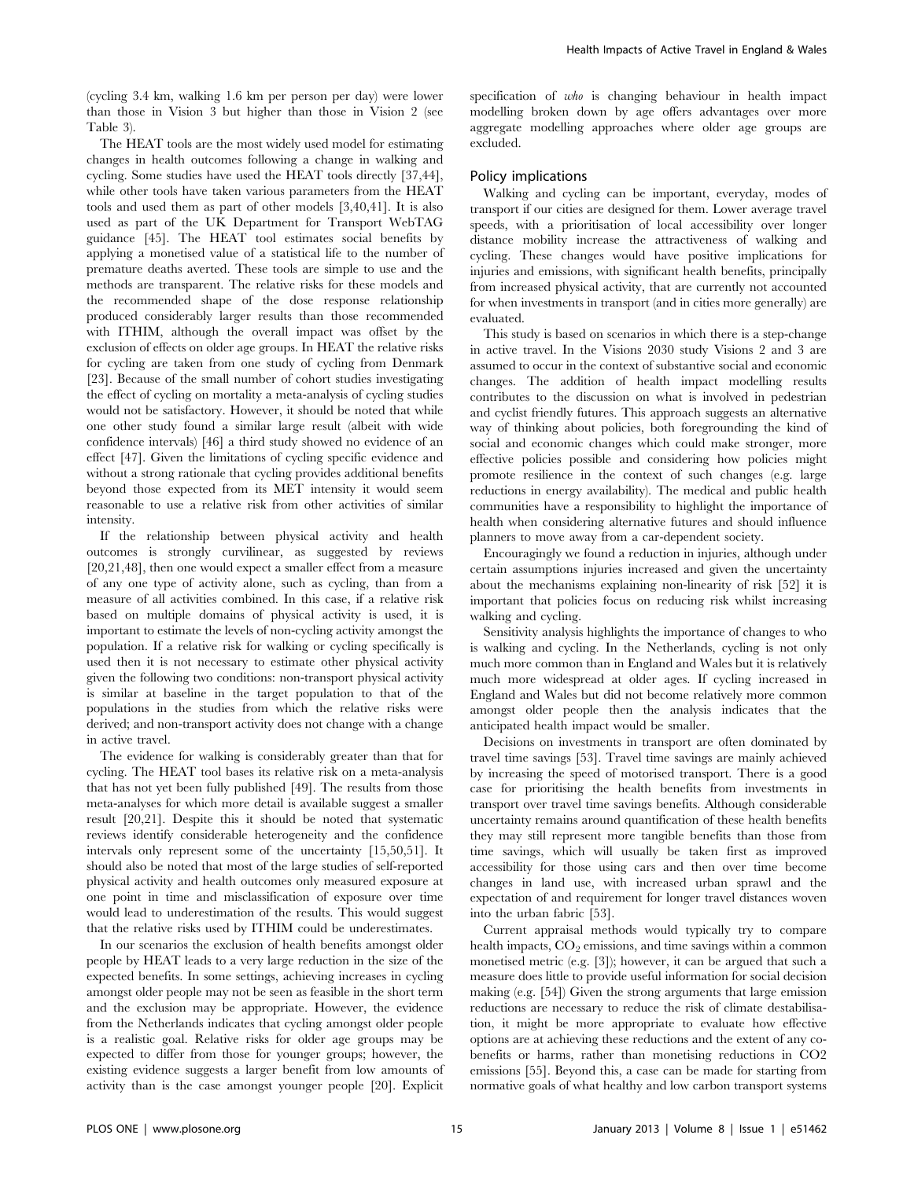(cycling 3.4 km, walking 1.6 km per person per day) were lower than those in Vision 3 but higher than those in Vision 2 (see Table 3).

The HEAT tools are the most widely used model for estimating changes in health outcomes following a change in walking and cycling. Some studies have used the HEAT tools directly [37,44], while other tools have taken various parameters from the HEAT tools and used them as part of other models [3,40,41]. It is also used as part of the UK Department for Transport WebTAG guidance [45]. The HEAT tool estimates social benefits by applying a monetised value of a statistical life to the number of premature deaths averted. These tools are simple to use and the methods are transparent. The relative risks for these models and the recommended shape of the dose response relationship produced considerably larger results than those recommended with ITHIM, although the overall impact was offset by the exclusion of effects on older age groups. In HEAT the relative risks for cycling are taken from one study of cycling from Denmark [23]. Because of the small number of cohort studies investigating the effect of cycling on mortality a meta-analysis of cycling studies would not be satisfactory. However, it should be noted that while one other study found a similar large result (albeit with wide confidence intervals) [46] a third study showed no evidence of an effect [47]. Given the limitations of cycling specific evidence and without a strong rationale that cycling provides additional benefits beyond those expected from its MET intensity it would seem reasonable to use a relative risk from other activities of similar intensity.

If the relationship between physical activity and health outcomes is strongly curvilinear, as suggested by reviews [20,21,48], then one would expect a smaller effect from a measure of any one type of activity alone, such as cycling, than from a measure of all activities combined. In this case, if a relative risk based on multiple domains of physical activity is used, it is important to estimate the levels of non-cycling activity amongst the population. If a relative risk for walking or cycling specifically is used then it is not necessary to estimate other physical activity given the following two conditions: non-transport physical activity is similar at baseline in the target population to that of the populations in the studies from which the relative risks were derived; and non-transport activity does not change with a change in active travel.

The evidence for walking is considerably greater than that for cycling. The HEAT tool bases its relative risk on a meta-analysis that has not yet been fully published [49]. The results from those meta-analyses for which more detail is available suggest a smaller result [20,21]. Despite this it should be noted that systematic reviews identify considerable heterogeneity and the confidence intervals only represent some of the uncertainty [15,50,51]. It should also be noted that most of the large studies of self-reported physical activity and health outcomes only measured exposure at one point in time and misclassification of exposure over time would lead to underestimation of the results. This would suggest that the relative risks used by ITHIM could be underestimates.

In our scenarios the exclusion of health benefits amongst older people by HEAT leads to a very large reduction in the size of the expected benefits. In some settings, achieving increases in cycling amongst older people may not be seen as feasible in the short term and the exclusion may be appropriate. However, the evidence from the Netherlands indicates that cycling amongst older people is a realistic goal. Relative risks for older age groups may be expected to differ from those for younger groups; however, the existing evidence suggests a larger benefit from low amounts of activity than is the case amongst younger people [20]. Explicit specification of who is changing behaviour in health impact modelling broken down by age offers advantages over more aggregate modelling approaches where older age groups are excluded.

## Policy implications

Walking and cycling can be important, everyday, modes of transport if our cities are designed for them. Lower average travel speeds, with a prioritisation of local accessibility over longer distance mobility increase the attractiveness of walking and cycling. These changes would have positive implications for injuries and emissions, with significant health benefits, principally from increased physical activity, that are currently not accounted for when investments in transport (and in cities more generally) are evaluated.

This study is based on scenarios in which there is a step-change in active travel. In the Visions 2030 study Visions 2 and 3 are assumed to occur in the context of substantive social and economic changes. The addition of health impact modelling results contributes to the discussion on what is involved in pedestrian and cyclist friendly futures. This approach suggests an alternative way of thinking about policies, both foregrounding the kind of social and economic changes which could make stronger, more effective policies possible and considering how policies might promote resilience in the context of such changes (e.g. large reductions in energy availability). The medical and public health communities have a responsibility to highlight the importance of health when considering alternative futures and should influence planners to move away from a car-dependent society.

Encouragingly we found a reduction in injuries, although under certain assumptions injuries increased and given the uncertainty about the mechanisms explaining non-linearity of risk [52] it is important that policies focus on reducing risk whilst increasing walking and cycling.

Sensitivity analysis highlights the importance of changes to who is walking and cycling. In the Netherlands, cycling is not only much more common than in England and Wales but it is relatively much more widespread at older ages. If cycling increased in England and Wales but did not become relatively more common amongst older people then the analysis indicates that the anticipated health impact would be smaller.

Decisions on investments in transport are often dominated by travel time savings [53]. Travel time savings are mainly achieved by increasing the speed of motorised transport. There is a good case for prioritising the health benefits from investments in transport over travel time savings benefits. Although considerable uncertainty remains around quantification of these health benefits they may still represent more tangible benefits than those from time savings, which will usually be taken first as improved accessibility for those using cars and then over time become changes in land use, with increased urban sprawl and the expectation of and requirement for longer travel distances woven into the urban fabric [53].

Current appraisal methods would typically try to compare health impacts,  $CO<sub>2</sub>$  emissions, and time savings within a common monetised metric (e.g. [3]); however, it can be argued that such a measure does little to provide useful information for social decision making (e.g. [54]) Given the strong arguments that large emission reductions are necessary to reduce the risk of climate destabilisation, it might be more appropriate to evaluate how effective options are at achieving these reductions and the extent of any cobenefits or harms, rather than monetising reductions in CO2 emissions [55]. Beyond this, a case can be made for starting from normative goals of what healthy and low carbon transport systems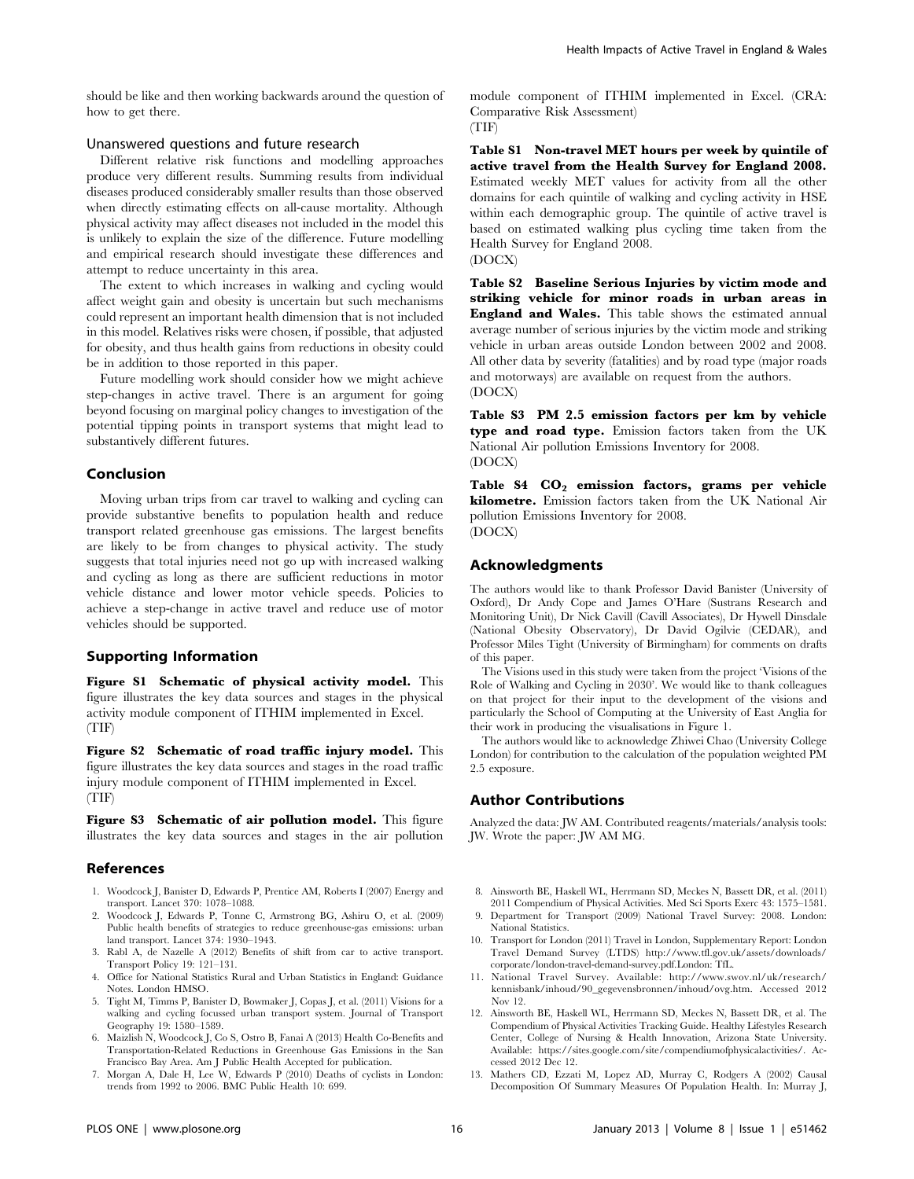should be like and then working backwards around the question of how to get there.

# Unanswered questions and future research

Different relative risk functions and modelling approaches produce very different results. Summing results from individual diseases produced considerably smaller results than those observed when directly estimating effects on all-cause mortality. Although physical activity may affect diseases not included in the model this is unlikely to explain the size of the difference. Future modelling and empirical research should investigate these differences and attempt to reduce uncertainty in this area.

The extent to which increases in walking and cycling would affect weight gain and obesity is uncertain but such mechanisms could represent an important health dimension that is not included in this model. Relatives risks were chosen, if possible, that adjusted for obesity, and thus health gains from reductions in obesity could be in addition to those reported in this paper.

Future modelling work should consider how we might achieve step-changes in active travel. There is an argument for going beyond focusing on marginal policy changes to investigation of the potential tipping points in transport systems that might lead to substantively different futures.

#### Conclusion

Moving urban trips from car travel to walking and cycling can provide substantive benefits to population health and reduce transport related greenhouse gas emissions. The largest benefits are likely to be from changes to physical activity. The study suggests that total injuries need not go up with increased walking and cycling as long as there are sufficient reductions in motor vehicle distance and lower motor vehicle speeds. Policies to achieve a step-change in active travel and reduce use of motor vehicles should be supported.

# Supporting Information

Figure S1 Schematic of physical activity model. This figure illustrates the key data sources and stages in the physical activity module component of ITHIM implemented in Excel. (TIF)

Figure S2 Schematic of road traffic injury model. This figure illustrates the key data sources and stages in the road traffic injury module component of ITHIM implemented in Excel. (TIF)

Figure S3 Schematic of air pollution model. This figure illustrates the key data sources and stages in the air pollution

#### References

- 1. Woodcock J, Banister D, Edwards P, Prentice AM, Roberts I (2007) Energy and transport. Lancet 370: 1078–1088.
- 2. Woodcock J, Edwards P, Tonne C, Armstrong BG, Ashiru O, et al. (2009) Public health benefits of strategies to reduce greenhouse-gas emissions: urban land transport. Lancet 374: 1930–1943.
- 3. Rabl A, de Nazelle A (2012) Benefits of shift from car to active transport. Transport Policy 19: 121–131.
- 4. Office for National Statistics Rural and Urban Statistics in England: Guidance Notes. London HMSO.
- 5. Tight M, Timms P, Banister D, Bowmaker J, Copas J, et al. (2011) Visions for a walking and cycling focussed urban transport system. Journal of Transport Geography 19: 1580–1589.
- 6. Maizlish N, Woodcock J, Co S, Ostro B, Fanai A (2013) Health Co-Benefits and Transportation-Related Reductions in Greenhouse Gas Emissions in the San Francisco Bay Area. Am J Public Health Accepted for publication.
- 7. Morgan A, Dale H, Lee W, Edwards P (2010) Deaths of cyclists in London: trends from 1992 to 2006. BMC Public Health 10: 699.

module component of ITHIM implemented in Excel. (CRA: Comparative Risk Assessment) (TIF)

Table S1 Non-travel MET hours per week by quintile of active travel from the Health Survey for England 2008. Estimated weekly MET values for activity from all the other domains for each quintile of walking and cycling activity in HSE within each demographic group. The quintile of active travel is based on estimated walking plus cycling time taken from the Health Survey for England 2008. (DOCX)

Table S2 Baseline Serious Injuries by victim mode and striking vehicle for minor roads in urban areas in England and Wales. This table shows the estimated annual average number of serious injuries by the victim mode and striking vehicle in urban areas outside London between 2002 and 2008. All other data by severity (fatalities) and by road type (major roads and motorways) are available on request from the authors. (DOCX)

Table S3 PM 2.5 emission factors per km by vehicle type and road type. Emission factors taken from the UK National Air pollution Emissions Inventory for 2008. (DOCX)

Table S4  $CO<sub>2</sub>$  emission factors, grams per vehicle kilometre. Emission factors taken from the UK National Air pollution Emissions Inventory for 2008. (DOCX)

#### Acknowledgments

The authors would like to thank Professor David Banister (University of Oxford), Dr Andy Cope and James O'Hare (Sustrans Research and Monitoring Unit), Dr Nick Cavill (Cavill Associates), Dr Hywell Dinsdale (National Obesity Observatory), Dr David Ogilvie (CEDAR), and Professor Miles Tight (University of Birmingham) for comments on drafts of this paper.

The Visions used in this study were taken from the project 'Visions of the Role of Walking and Cycling in 2030'. We would like to thank colleagues on that project for their input to the development of the visions and particularly the School of Computing at the University of East Anglia for their work in producing the visualisations in Figure 1.

The authors would like to acknowledge Zhiwei Chao (University College London) for contribution to the calculation of the population weighted PM 2.5 exposure.

# Author Contributions

Analyzed the data: JW AM. Contributed reagents/materials/analysis tools: JW. Wrote the paper: JW AM MG.

- 8. Ainsworth BE, Haskell WL, Herrmann SD, Meckes N, Bassett DR, et al. (2011) 2011 Compendium of Physical Activities. Med Sci Sports Exerc 43: 1575–1581.
- 9. Department for Transport (2009) National Travel Survey: 2008. London: National Statistics.
- 10. Transport for London (2011) Travel in London, Supplementary Report: London Travel Demand Survey (LTDS) http://www.tfl.gov.uk/assets/downloads/ corporate/london-travel-demand-survey.pdf.London: TfL.
- 11. National Travel Survey. Available: http://www.swov.nl/uk/research/ kennisbank/inhoud/90\_gegevensbronnen/inhoud/ovg.htm. Accessed 2012 Nov 12.
- 12. Ainsworth BE, Haskell WL, Herrmann SD, Meckes N, Bassett DR, et al. The Compendium of Physical Activities Tracking Guide. Healthy Lifestyles Research Center, College of Nursing & Health Innovation, Arizona State University. Available: https://sites.google.com/site/compendiumofphysicalactivities/. Accessed 2012 Dec 12.
- 13. Mathers CD, Ezzati M, Lopez AD, Murray C, Rodgers A (2002) Causal Decomposition Of Summary Measures Of Population Health. In: Murray J,